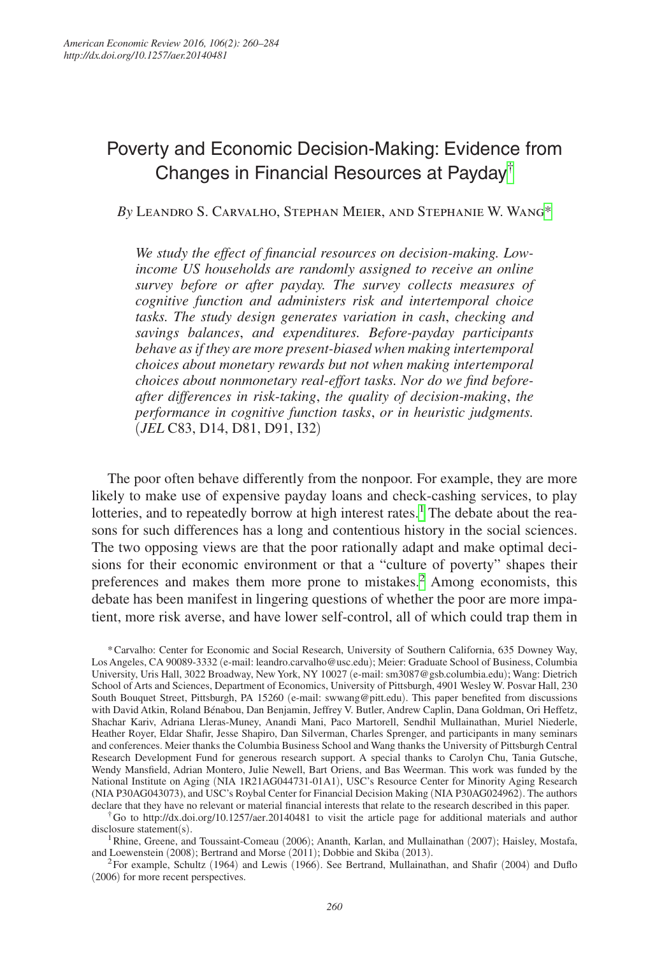# Poverty and Economic Decision-Making: Evidence from Changes in Financial Resources at Payday[†](#page-0-0)

*By* Leandro S. Carvalho, Stephan Meier, and Stephanie W. Wan[g\\*](#page-0-1)

*We study the effect of financial resources on decision-making. Lowincome US households are randomly assigned to receive an online survey before or after payday. The survey collects measures of cognitive function and administers risk and intertemporal choice tasks. The study design generates variation in cash*, *checking and savings balances*, *and expenditures. Before-payday participants behave as if they are more present-biased when making intertemporal choices about monetary rewards but not when making intertemporal choices about nonmonetary real-effort tasks. Nor do we find beforeafter differences in risk-taking*, *the quality of decision-making*, *the performance in cognitive function tasks*, *or in heuristic judgments.*  (*JEL* C83, D14, D81, D91, I32)

The poor often behave differently from the nonpoor. For example, they are more likely to make use of expensive payday loans and check-cashing services, to play lotteries, and to repeatedly borrow at high interest rates.<sup>[1](#page-0-2)</sup> The debate about the reasons for such differences has a long and contentious history in the social sciences. The two opposing views are that the poor rationally adapt and make optimal decisions for their economic environment or that a "culture of poverty" shapes their preferences and makes them more prone to mistakes.<sup>[2](#page-0-3)</sup> Among economists, this debate has been manifest in lingering questions of whether the poor are more impatient, more risk averse, and have lower self-control, all of which could trap them in

<span id="page-0-1"></span>\*Carvalho: Center for Economic and Social Research, University of Southern California, 635 Downey Way, Los Angeles, CA 90089-3332 (e-mail: leandro.carvalho@usc.edu); Meier: Graduate School of Business, Columbia University, Uris Hall, 3022 Broadway, New York, NY 10027 (e-mail: sm3087@gsb.columbia.edu); Wang: Dietrich School of Arts and Sciences, Department of Economics, University of Pittsburgh, 4901 Wesley W. Posvar Hall, 230 South Bouquet Street, Pittsburgh, PA 15260 (e-mail: swwang@pitt.edu). This paper benefited from discussions with David Atkin, Roland Bénabou, Dan Benjamin, Jeffrey V. Butler, Andrew Caplin, Dana Goldman, Ori Heffetz, Shachar Kariv, Adriana Lleras-Muney, Anandi Mani, Paco Martorell, Sendhil Mullainathan, Muriel Niederle, Heather Royer, Eldar Shafir, Jesse Shapiro, Dan Silverman, Charles Sprenger, and participants in many seminars and conferences. Meier thanks the Columbia Business School and Wang thanks the University of Pittsburgh Central Research Development Fund for generous research support. A special thanks to Carolyn Chu, Tania Gutsche, Wendy Mansfield, Adrian Montero, Julie Newell, Bart Oriens, and Bas Weerman. This work was funded by the National Institute on Aging (NIA [1R21AG044731-01A1](https://public.era.nih.gov/grantfolder/piAppDetails/genericStatus.do?encryptedParam=jnUH_tiyK1U.dj5xF22l-YsfQQ7MrUufuzjHU2wK-3BycHQPSdJagbw.)), USC's Resource Center for Minority Aging Research (NIA P30AG043073), and USC's Roybal Center for Financial Decision Making (NIA P30AG024962). The authors declare that they have no relevant or material financial interests that relate to the research described in this paper.

<span id="page-0-0"></span>†Go to http://dx.doi.org/10.1257/aer.20140481 to visit the article page for additional materials and author disclosure statement(s).

<span id="page-0-2"></span><sup>1</sup> Rhine, Greene, and Toussaint-Comeau (2006); Ananth, Karlan, and Mullainathan (2007); Haisley, Mostafa, and Loewenstein (2008); Bertrand and Morse (2011); Dobbie and Skiba (2013).

<span id="page-0-3"></span><sup>2</sup> For example, Schultz (1964) and Lewis (1966). See Bertrand, Mullainathan, and Shafir (2004) and Duflo (2006) for more recent perspectives.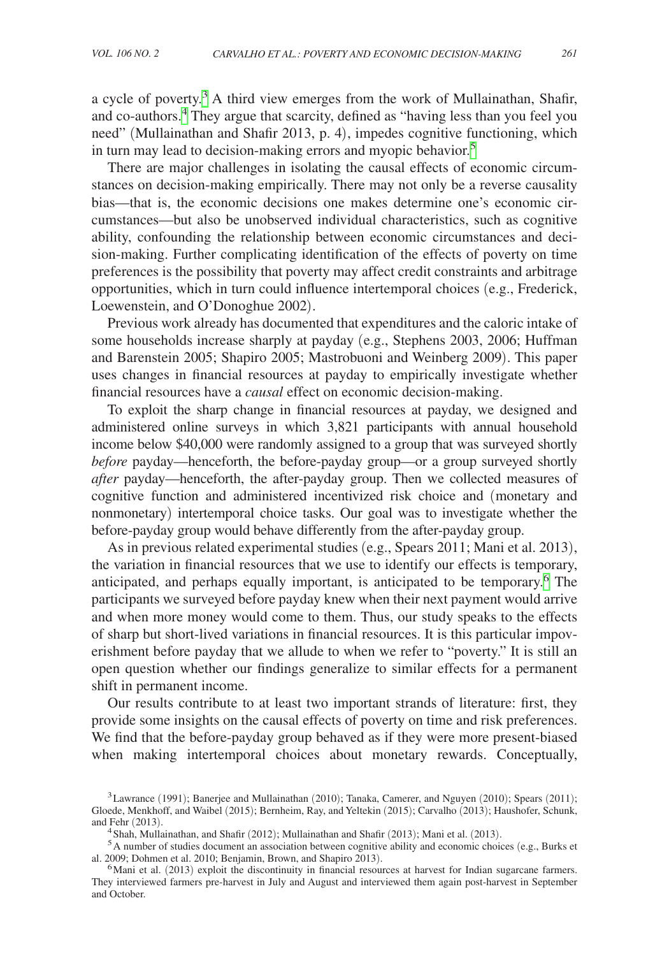a cycle of poverty.<sup>3</sup> A third view emerges from the work of Mullainathan, Shafir, and co-authors.[4](#page-1-1) They argue that scarcity, defined as "having less than you feel you need" (Mullainathan and Shafir 2013, p. 4), impedes cognitive functioning, which in turn may lead to decision-making errors and myopic behavior.<sup>5</sup>

There are major challenges in isolating the causal effects of economic circumstances on decision-making empirically. There may not only be a reverse causality bias—that is, the economic decisions one makes determine one's economic circumstances—but also be unobserved individual characteristics, such as cognitive ability, confounding the relationship between economic circumstances and decision-making. Further complicating identification of the effects of poverty on time preferences is the possibility that poverty may affect credit constraints and arbitrage opportunities, which in turn could influence intertemporal choices (e.g., Frederick, Loewenstein, and O'Donoghue 2002).

Previous work already has documented that expenditures and the caloric intake of some households increase sharply at payday (e.g., Stephens 2003, 2006; Huffman and Barenstein 2005; Shapiro 2005; Mastrobuoni and Weinberg 2009). This paper uses changes in financial resources at payday to empirically investigate whether financial resources have a *causal* effect on economic decision-making.

To exploit the sharp change in financial resources at payday, we designed and administered online surveys in which 3,821 participants with annual household income below \$40,000 were randomly assigned to a group that was surveyed shortly *before* payday—henceforth, the before-payday group—or a group surveyed shortly *after* payday—henceforth, the after-payday group. Then we collected measures of cognitive function and administered incentivized risk choice and (monetary and nonmonetary) intertemporal choice tasks. Our goal was to investigate whether the before-payday group would behave differently from the after-payday group.

As in previous related experimental studies (e.g., Spears 2011; Mani et al. 2013), the variation in financial resources that we use to identify our effects is temporary, anticipated, and perhaps equally important, is anticipated to be temporary.<sup>6</sup> The participants we surveyed before payday knew when their next payment would arrive and when more money would come to them. Thus, our study speaks to the effects of sharp but short-lived variations in financial resources. It is this particular impoverishment before payday that we allude to when we refer to "poverty." It is still an open question whether our findings generalize to similar effects for a permanent shift in permanent income.

Our results contribute to at least two important strands of literature: first, they provide some insights on the causal effects of poverty on time and risk preferences. We find that the before-payday group behaved as if they were more present-biased when making intertemporal choices about monetary rewards. Conceptually,

<span id="page-1-0"></span><sup>3</sup>Lawrance (1991); Banerjee and Mullainathan (2010); Tanaka, Camerer, and Nguyen (2010); Spears (2011); Gloede, Menkhoff, and Waibel (2015); Bernheim, Ray, and Yeltekin (2015); Carvalho (2013); Haushofer, Schunk, and Fehr (2013).

<span id="page-1-2"></span><span id="page-1-1"></span>

<sup>&</sup>lt;sup>4</sup> Shah, Mullainathan, and Shafir (2012); Mullainathan and Shafir (2013); Mani et al. (2013).<br><sup>5</sup>A number of studies document an association between cognitive ability and economic choices (e.g., Burks et al. 2009; Dohmen

<span id="page-1-3"></span> $6$ Mani et al. (2013) exploit the discontinuity in financial resources at harvest for Indian sugarcane farmers. They interviewed farmers pre-harvest in July and August and interviewed them again post-harvest in September and October.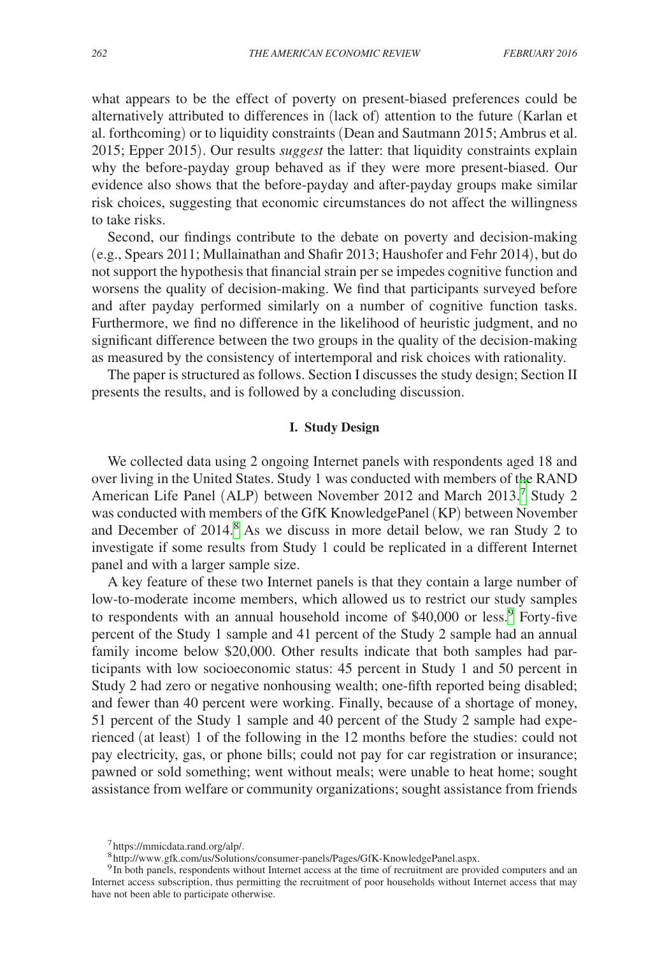what appears to be the effect of poverty on present-biased preferences could be alternatively attributed to differences in (lack of) attention to the future (Karlan et al. forthcoming) or to liquidity constraints (Dean and Sautmann 2015; Ambrus et al. 2015; Epper 2015). Our results *suggest* the latter: that liquidity constraints explain why the before-payday group behaved as if they were more present-biased. Our evidence also shows that the before-payday and after-payday groups make similar risk choices, suggesting that economic circumstances do not affect the willingness to take risks.

Second, our findings contribute to the debate on poverty and decision-making (e.g., Spears 2011; Mullainathan and Shafir 2013; Haushofer and Fehr 2014), but do not support the hypothesis that financial strain per se impedes cognitive function and worsens the quality of decision-making. We find that participants surveyed before and after payday performed similarly on a number of cognitive function tasks. Furthermore, we find no difference in the likelihood of heuristic judgment, and no significant difference between the two groups in the quality of the decision-making as measured by the consistency of intertemporal and risk choices with rationality.

The paper is structured as follows. Section I discusses the study design; Section II presents the results, and is followed by a concluding discussion.

# **I. Study Design**

We collected data using 2 ongoing Internet panels with respondents aged 18 and over living in the United States. Study 1 was conducted with members of the RAND American Life Panel (ALP) between November 2012 and March 2013.[7](#page-2-0) Study 2 was conducted with members of the GfK KnowledgePanel (KP) between November and December of 2014.<sup>[8](#page-2-1)</sup> As we discuss in more detail below, we ran Study 2 to investigate if some results from Study 1 could be replicated in a different Internet panel and with a larger sample size.

A key feature of these two Internet panels is that they contain a large number of low-to-moderate income members, which allowed us to restrict our study samples to respondents with an annual household income of \$40,000 or less.<sup>[9](#page-2-2)</sup> Forty-five percent of the Study 1 sample and 41 percent of the Study 2 sample had an annual family income below \$20,000. Other results indicate that both samples had participants with low socioeconomic status: 45 percent in Study 1 and 50 percent in Study 2 had zero or negative nonhousing wealth; one-fifth reported being disabled; and fewer than 40 percent were working. Finally, because of a shortage of money, 51 percent of the Study 1 sample and 40 percent of the Study 2 sample had experienced (at least) 1 of the following in the 12 months before the studies: could not pay electricity, gas, or phone bills; could not pay for car registration or insurance; pawned or sold something; went without meals; were unable to heat home; sought assistance from welfare or community organizations; sought assistance from friends

<span id="page-2-0"></span><sup>7</sup>https://mmicdata.rand.org/alp/.

<span id="page-2-2"></span><span id="page-2-1"></span><sup>8</sup>http://www.gfk.com/us/Solutions/consumer-panels/Pages/GfK-KnowledgePanel.aspx.

<sup>&</sup>lt;sup>9</sup>In both panels, respondents without Internet access at the time of recruitment are provided computers and an Internet access subscription, thus permitting the recruitment of poor households without Internet access that may have not been able to participate otherwise.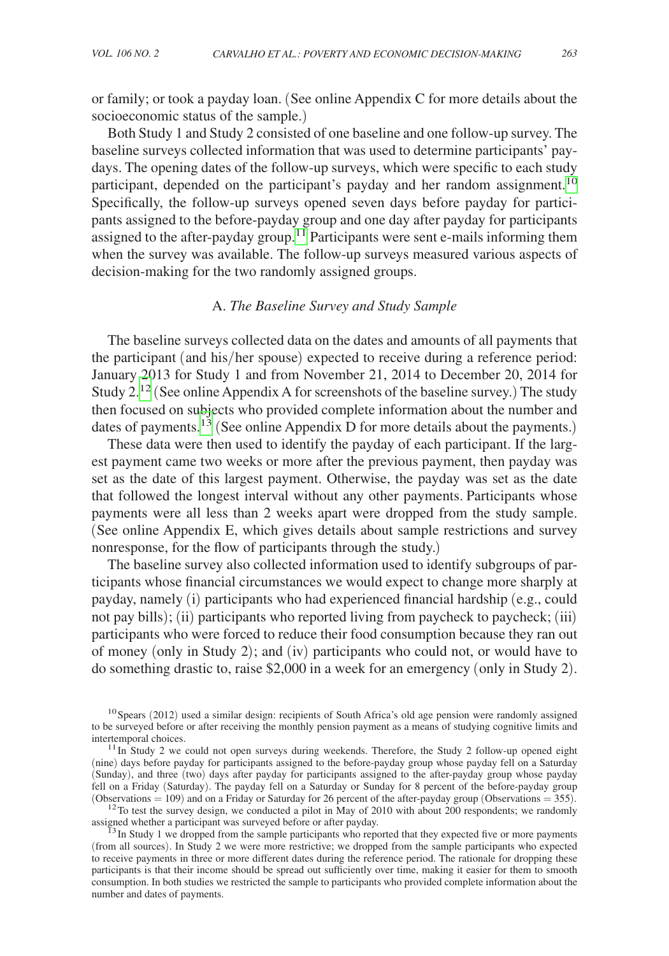or family; or took a payday loan. (See online Appendix C for more details about the socioeconomic status of the sample.)

Both Study 1 and Study 2 consisted of one baseline and one follow-up survey. The baseline surveys collected information that was used to determine participants' paydays. The opening dates of the follow-up surveys, which were specific to each study participant, depended on the participant's payday and her random assignment.<sup>10</sup> Specifically, the follow-up surveys opened seven days before payday for participants assigned to the before-payday group and one day after payday for participants assigned to the after-payday group.<sup>11</sup> Participants were sent e-mails informing them when the survey was available. The follow-up surveys measured various aspects of decision-making for the two randomly assigned groups.

# A. *The Baseline Survey and Study Sample*

The baseline surveys collected data on the dates and amounts of all payments that the participant (and his/her spouse) expected to receive during a reference period: January 2013 for Study 1 and from November 21, 2014 to December 20, 2014 for Study 2.[12](#page-3-2) (See online Appendix A for screenshots of the baseline survey.) The study then focused on subjects who provided complete information about the number and dates of payments.<sup>[13](#page-3-3)</sup> (See online Appendix D for more details about the payments.)

These data were then used to identify the payday of each participant. If the largest payment came two weeks or more after the previous payment, then payday was set as the date of this largest payment. Otherwise, the payday was set as the date that followed the longest interval without any other payments. Participants whose payments were all less than 2 weeks apart were dropped from the study sample. (See online Appendix E, which gives details about sample restrictions and survey nonresponse, for the flow of participants through the study.)

The baseline survey also collected information used to identify subgroups of participants whose financial circumstances we would expect to change more sharply at payday, namely (i) participants who had experienced financial hardship (e.g., could not pay bills); (ii) participants who reported living from paycheck to paycheck; (iii) participants who were forced to reduce their food consumption because they ran out of money (only in Study 2); and (iv) participants who could not, or would have to do something drastic to, raise \$2,000 in a week for an emergency (only in Study 2).

<span id="page-3-2"></span><sup>12</sup> To test the survey design, we conducted a pilot in May of 2010 with about 200 respondents; we randomly assigned whether a participant was surveyed before or after payday.<br><sup>13</sup>In Study 1 we dropped from the sample participants who reported that they expected five or more payments

<span id="page-3-0"></span> $^{10}$ Spears (2012) used a similar design: recipients of South Africa's old age pension were randomly assigned to be surveyed before or after receiving the monthly pension payment as a means of studying cognitive limits and

<span id="page-3-1"></span> $11$ In Study 2 we could not open surveys during weekends. Therefore, the Study 2 follow-up opened eight (nine) days before payday for participants assigned to the before-payday group whose payday fell on a Saturday (Sunday), and three (two) days after payday for participants assigned to the after-payday group whose payday fell on a Friday (Saturday). The payday fell on a Saturday or Sunday for 8 percent of the before-payday group (Observations = 109) and on a Friday or Saturday for 26 percent of the after-payday group (Observations = 355).

<span id="page-3-3"></span><sup>(</sup>from all sources). In Study 2 we were more restrictive; we dropped from the sample participants who expected to receive payments in three or more different dates during the reference period. The rationale for dropping these participants is that their income should be spread out sufficiently over time, making it easier for them to smooth consumption. In both studies we restricted the sample to participants who provided complete information about the number and dates of payments.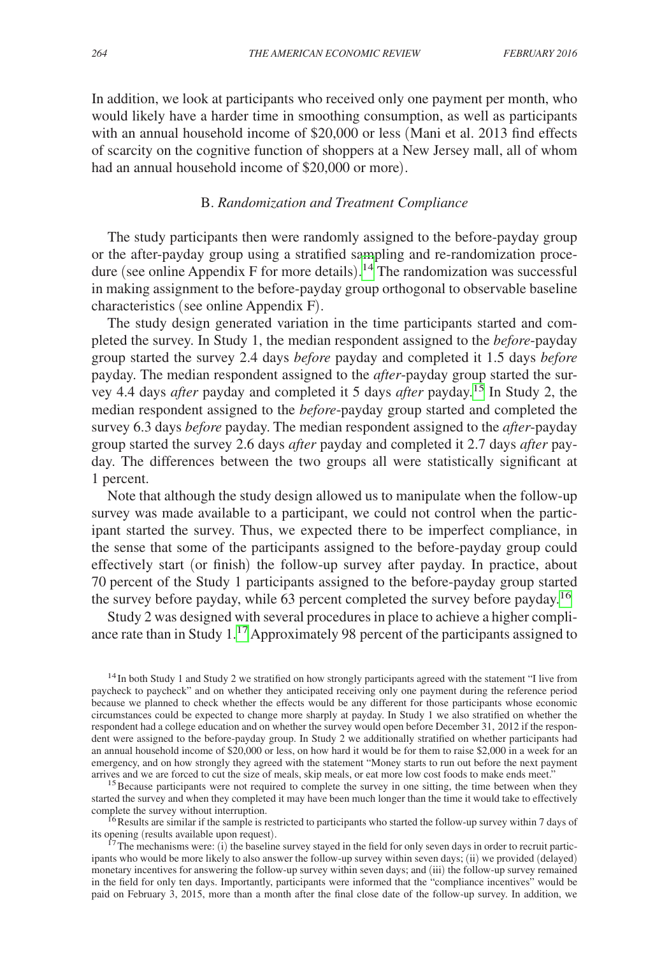In addition, we look at participants who received only one payment per month, who would likely have a harder time in smoothing consumption, as well as participants with an annual household income of \$20,000 or less (Mani et al. 2013 find effects of scarcity on the cognitive function of shoppers at a New Jersey mall, all of whom had an annual household income of \$20,000 or more).

# B. *Randomization and Treatment Compliance*

The study participants then were randomly assigned to the before-payday group or the after-payday group using a stratified sampling and re-randomization procedure (see online Appendix F for more details). [14](#page-4-0) The randomization was successful in making assignment to the before-payday group orthogonal to observable baseline characteristics (see online Appendix F).

The study design generated variation in the time participants started and completed the survey. In Study 1, the median respondent assigned to the *before*-payday group started the survey 2.4 days *before* payday and completed it 1.5 days *before* payday. The median respondent assigned to the *after*-payday group started the survey 4.4 days *after* payday and completed it 5 days *after* payday.[15](#page-4-1) In Study 2, the median respondent assigned to the *before*-payday group started and completed the survey 6.3 days *before* payday. The median respondent assigned to the *after*-payday group started the survey 2.6 days *after* payday and completed it 2.7 days *after* payday. The differences between the two groups all were statistically significant at 1 percent.

Note that although the study design allowed us to manipulate when the follow-up survey was made available to a participant, we could not control when the participant started the survey. Thus, we expected there to be imperfect compliance, in the sense that some of the participants assigned to the before-payday group could effectively start (or finish) the follow-up survey after payday. In practice, about 70 percent of the Study 1 participants assigned to the before-payday group started the survey before payday, while 63 percent completed the survey before payday.[16](#page-4-2)

Study 2 was designed with several procedures in place to achieve a higher compliance rate than in Study 1[.17](#page-4-3) Approximately 98 percent of the participants assigned to

<span id="page-4-0"></span><sup>14</sup> In both Study 1 and Study 2 we stratified on how strongly participants agreed with the statement "I live from paycheck to paycheck" and on whether they anticipated receiving only one payment during the reference period because we planned to check whether the effects would be any different for those participants whose economic circumstances could be expected to change more sharply at payday. In Study 1 we also stratified on whether the respondent had a college education and on whether the survey would open before December 31, 2012 if the respondent were assigned to the before-payday group. In Study 2 we additionally stratified on whether participants had an annual household income of \$20,000 or less, on how hard it would be for them to raise \$2,000 in a week for an emergency, and on how strongly they agreed with the statement "Money starts to run out before the next payment arrives and we are forced to cut the size of meals, skip meals, or eat more low cost foods to make ends meet."

<span id="page-4-1"></span> $15$  Because participants were not required to complete the survey in one sitting, the time between when they started the survey and when they completed it may have been much longer than the time it would take to effectively complete the survey without interruption.<br><sup>16</sup>Results are similar if the sample is restricted to participants who started the follow-up survey within 7 days of

<span id="page-4-2"></span>its opening (results available upon request).<br><sup>17</sup>The mechanisms were: (i) the baseline survey stayed in the field for only seven days in order to recruit partic-

<span id="page-4-3"></span>ipants who would be more likely to also answer the follow-up survey within seven days; (ii) we provided (delayed) monetary incentives for answering the follow-up survey within seven days; and (iii) the follow-up survey remained in the field for only ten days. Importantly, participants were informed that the "compliance incentives" would be paid on February 3, 2015, more than a month after the final close date of the follow-up survey. In addition, we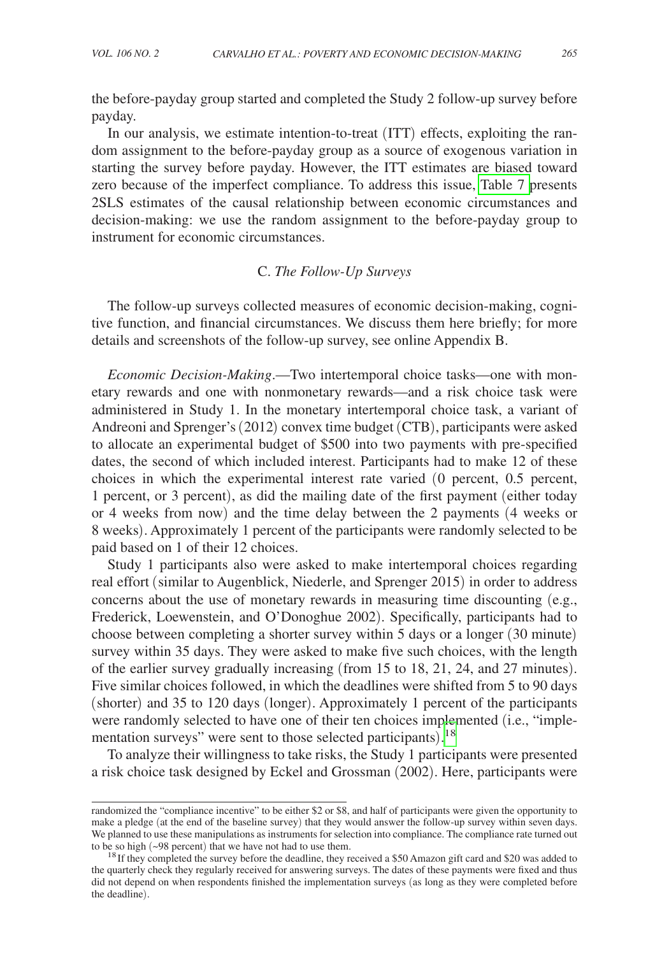the before-payday group started and completed the Study 2 follow-up survey before payday.

In our analysis, we estimate intention-to-treat (ITT) effects, exploiting the random assignment to the before-payday group as a source of exogenous variation in starting the survey before payday. However, the ITT estimates are biased toward zero because of the imperfect compliance. To address this issue, [Table 7 p](#page-16-0)resents 2SLS estimates of the causal relationship between economic circumstances and decision-making: we use the random assignment to the before-payday group to instrument for economic circumstances.

# C. *The Follow-Up Surveys*

The follow-up surveys collected measures of economic decision-making, cognitive function, and financial circumstances. We discuss them here briefly; for more details and screenshots of the follow-up survey, see online Appendix B.

*Economic Decision-Making*.—Two intertemporal choice tasks—one with monetary rewards and one with nonmonetary rewards—and a risk choice task were administered in Study 1. In the monetary intertemporal choice task, a variant of Andreoni and Sprenger's (2012) convex time budget (CTB), participants were asked to allocate an experimental budget of \$500 into two payments with pre-specified dates, the second of which included interest. Participants had to make 12 of these choices in which the experimental interest rate varied (0 percent, 0.5 percent, 1 percent, or 3 percent), as did the mailing date of the first payment (either today or 4 weeks from now) and the time delay between the 2 payments (4 weeks or 8 weeks). Approximately 1 percent of the participants were randomly selected to be paid based on 1 of their 12 choices.

Study 1 participants also were asked to make intertemporal choices regarding real effort (similar to Augenblick, Niederle, and Sprenger 2015) in order to address concerns about the use of monetary rewards in measuring time discounting  $(e.g.,)$ Frederick, Loewenstein, and O'Donoghue 2002). Specifically, participants had to choose between completing a shorter survey within 5 days or a longer (30 minute) survey within 35 days. They were asked to make five such choices, with the length of the earlier survey gradually increasing (from 15 to 18, 21, 24, and 27 minutes). Five similar choices followed, in which the deadlines were shifted from 5 to 90 days (shorter) and 35 to 120 days (longer). Approximately 1 percent of the participants were randomly selected to have one of their ten choices implemented (i.e., "imple-mentation surveys" were sent to those selected participants).<sup>[18](#page-5-0)</sup>

To analyze their willingness to take risks, the Study 1 participants were presented a risk choice task designed by Eckel and Grossman (2002). Here, participants were

randomized the "compliance incentive" to be either \$2 or \$8, and half of participants were given the opportunity to make a pledge (at the end of the baseline survey) that they would answer the follow-up survey within seven days. We planned to use these manipulations as instruments for selection into compliance. The compliance rate turned out

<span id="page-5-0"></span>to be so high ( $\sim$ 98 percent) that we have not had to use them.<br><sup>18</sup> If they completed the survey before the deadline, they received a \$50 Amazon gift card and \$20 was added to the quarterly check they regularly received for answering surveys. The dates of these payments were fixed and thus did not depend on when respondents finished the implementation surveys (as long as they were completed before the deadline).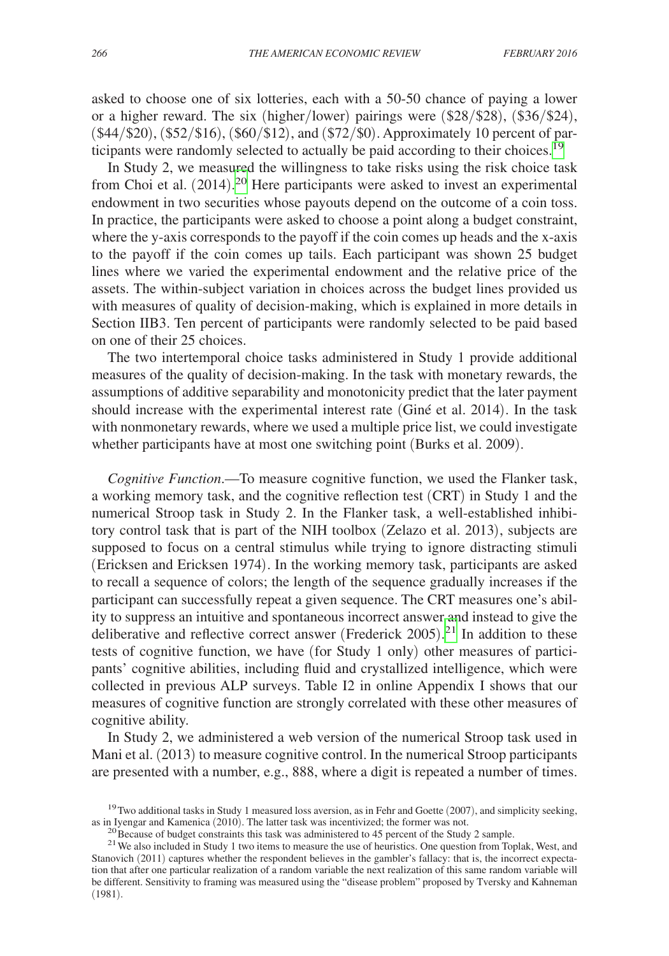asked to choose one of six lotteries, each with a 50-50 chance of paying a lower or a higher reward. The six (higher/lower) pairings were (\$28/\$28), (\$36/\$24), (\$44/\$20), (\$52/\$16), (\$60/\$12), and (\$72/\$0). Approximately 10 percent of participants were randomly selected to actually be paid according to their choices[.19](#page-6-0)

In Study 2, we measured the willingness to take risks using the risk choice task from Choi et al.  $(2014).^{20}$  $(2014).^{20}$  $(2014).^{20}$  Here participants were asked to invest an experimental endowment in two securities whose payouts depend on the outcome of a coin toss. In practice, the participants were asked to choose a point along a budget constraint, where the y-axis corresponds to the payoff if the coin comes up heads and the x-axis to the payoff if the coin comes up tails. Each participant was shown 25 budget lines where we varied the experimental endowment and the relative price of the assets. The within-subject variation in choices across the budget lines provided us with measures of quality of decision-making, which is explained in more details in Section IIB3. Ten percent of participants were randomly selected to be paid based on one of their 25 choices.

The two intertemporal choice tasks administered in Study 1 provide additional measures of the quality of decision-making. In the task with monetary rewards, the assumptions of additive separability and monotonicity predict that the later payment should increase with the experimental interest rate (Giné et al. 2014). In the task with nonmonetary rewards, where we used a multiple price list, we could investigate whether participants have at most one switching point (Burks et al. 2009).

*Cognitive Function*.—To measure cognitive function, we used the Flanker task, a working memory task, and the cognitive reflection test (CRT) in Study 1 and the numerical Stroop task in Study 2. In the Flanker task, a well-established inhibitory control task that is part of the NIH toolbox (Zelazo et al. 2013), subjects are supposed to focus on a central stimulus while trying to ignore distracting stimuli (Ericksen and Ericksen 1974). In the working memory task, participants are asked to recall a sequence of colors; the length of the sequence gradually increases if the participant can successfully repeat a given sequence. The CRT measures one's ability to suppress an intuitive and spontaneous incorrect answer and instead to give the deliberative and reflective correct answer (Frederick 2005). [21](#page-6-2) In addition to these tests of cognitive function, we have (for Study 1 only) other measures of participants' cognitive abilities, including fluid and crystallized intelligence, which were collected in previous ALP surveys. Table I2 in online Appendix I shows that our measures of cognitive function are strongly correlated with these other measures of cognitive ability.

In Study 2, we administered a web version of the numerical Stroop task used in Mani et al. (2013) to measure cognitive control. In the numerical Stroop participants are presented with a number, e.g., 888, where a digit is repeated a number of times.

<span id="page-6-0"></span><sup>&</sup>lt;sup>19</sup>Two additional tasks in Study 1 measured loss aversion, as in Fehr and Goette (2007), and simplicity seeking, as in Ivengar and Kamenica (2010). The latter task was incentivized; the former was not.

<span id="page-6-2"></span><span id="page-6-1"></span>

<sup>&</sup>lt;sup>20</sup> Because of budget constraints this task was administered to 45 percent of the Study 2 sample.<br><sup>21</sup> We also included in Study 1 two items to measure the use of heuristics. One question from Toplak, West, and Stanovich (2011) captures whether the respondent believes in the gambler's fallacy: that is, the incorrect expectation that after one particular realization of a random variable the next realization of this same random variable will be different. Sensitivity to framing was measured using the "disease problem" proposed by Tversky and Kahneman (1981).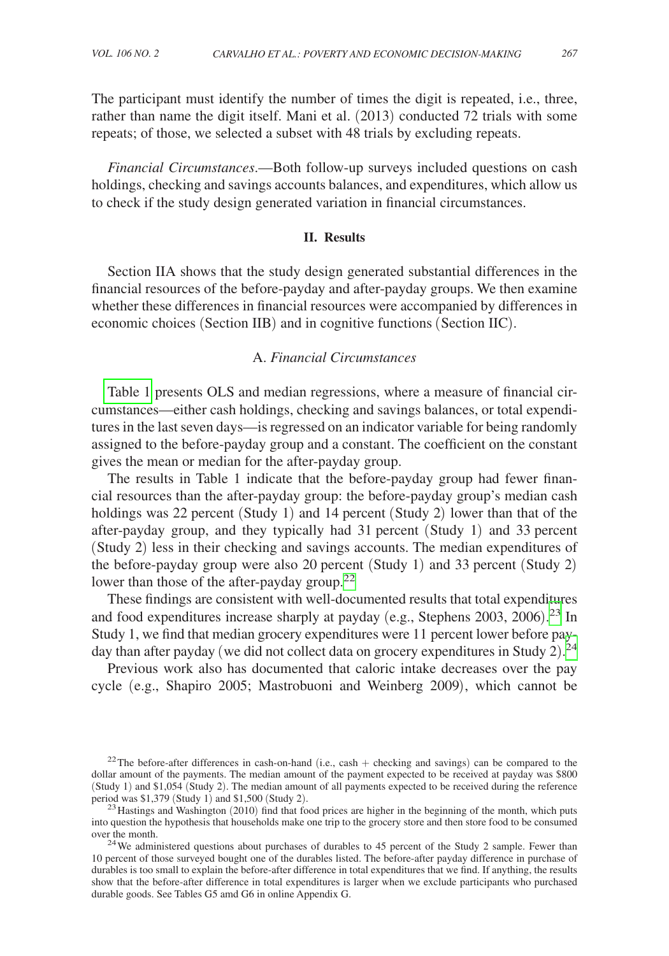The participant must identify the number of times the digit is repeated, i.e., three, rather than name the digit itself. Mani et al. (2013) conducted 72 trials with some repeats; of those, we selected a subset with 48 trials by excluding repeats.

*Financial Circumstances*.—Both follow-up surveys included questions on cash holdings, checking and savings accounts balances, and expenditures, which allow us to check if the study design generated variation in financial circumstances.

#### **II. Results**

Section IIA shows that the study design generated substantial differences in the financial resources of the before-payday and after-payday groups. We then examine whether these differences in financial resources were accompanied by differences in economic choices (Section IIB) and in cognitive functions (Section IIC).

# A. *Financial Circumstances*

[Table 1](#page-8-0) presents OLS and median regressions, where a measure of financial circumstances—either cash holdings, checking and savings balances, or total expenditures in the last seven days—is regressed on an indicator variable for being randomly assigned to the before-payday group and a constant. The coefficient on the constant gives the mean or median for the after-payday group.

The results in Table 1 indicate that the before-payday group had fewer financial resources than the after-payday group: the before-payday group's median cash holdings was 22 percent (Study 1) and 14 percent (Study 2) lower than that of the after-payday group, and they typically had 31 percent (Study 1) and 33 percent (Study 2) less in their checking and savings accounts. The median expenditures of the before-payday group were also 20 percent (Study 1) and 33 percent (Study 2) lower than those of the after-payday group.<sup>[22](#page-7-0)</sup>

These findings are consistent with well-documented results that total expenditures and food expenditures increase sharply at payday (e.g., Stephens 2003, 2006). [23](#page-7-1) In Study 1, we find that median grocery expenditures were 11 percent lower before pay-day than after payday (we did not collect data on grocery expenditures in Study 2).<sup>[24](#page-7-2)</sup>

Previous work also has documented that caloric intake decreases over the pay cycle (e.g., Shapiro 2005; Mastrobuoni and Weinberg 2009), which cannot be

<span id="page-7-0"></span><sup>&</sup>lt;sup>22</sup>The before-after differences in cash-on-hand (i.e., cash  $+$  checking and savings) can be compared to the dollar amount of the payments. The median amount of the payment expected to be received at payday was \$800 (Study 1) and \$1,054 (Study 2). The median amount of all payments expected to be received during the reference period was \$1,379 (Study 1) and \$1,500 (Study 2).

<span id="page-7-1"></span> $^{23}$  Hastings and Washington (2010) find that food prices are higher in the beginning of the month, which puts into question the hypothesis that households make one trip to the grocery store and then store food to be consumed

<span id="page-7-2"></span>over the month.<br><sup>24</sup>We administered questions about purchases of durables to 45 percent of the Study 2 sample. Fewer than 10 percent of those surveyed bought one of the durables listed. The before-after payday difference in purchase of durables is too small to explain the before-after difference in total expenditures that we find. If anything, the results show that the before-after difference in total expenditures is larger when we exclude participants who purchased durable goods. See Tables G5 amd G6 in online Appendix G.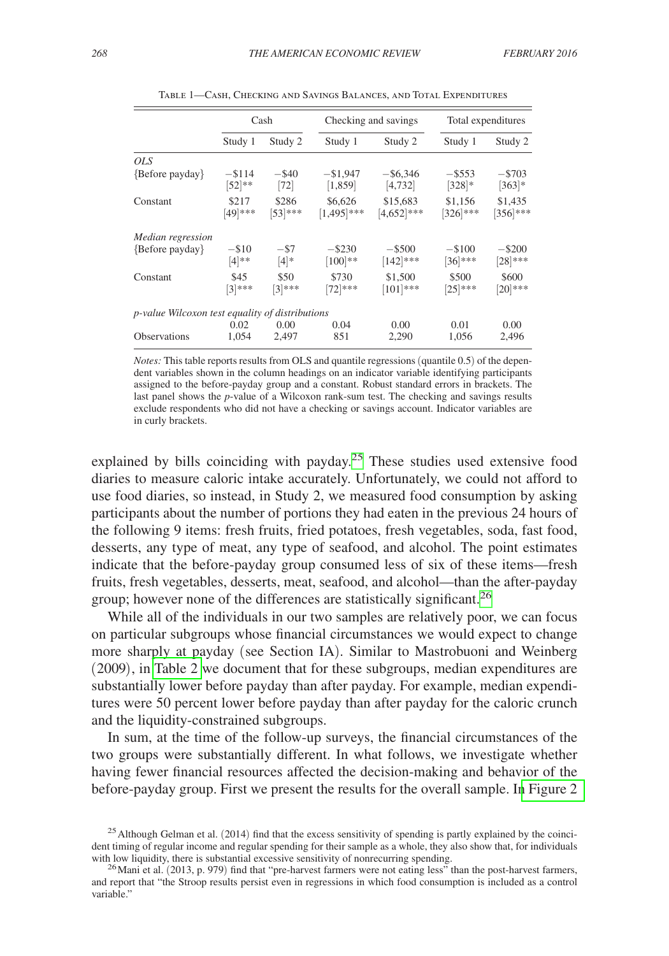<span id="page-8-0"></span>

|                                                        | Cash                 |                     |                          | Checking and savings      |                        | Total expenditures      |  |
|--------------------------------------------------------|----------------------|---------------------|--------------------------|---------------------------|------------------------|-------------------------|--|
|                                                        | Study 1              | Study 2             | Study 1                  | Study 2                   | Study 1                | Study 2                 |  |
| OLS <sub></sub>                                        |                      |                     |                          |                           |                        |                         |  |
| {Before payday}                                        | $-114$<br>$[52]$ **  | $-$ \$40<br>$[72]$  | $-$ \$1,947<br>[1,859]   | $-$ \$6,346<br>[4, 732]   | $-$ \$553<br>$[328]*$  | $-5703$<br>$[363]*$     |  |
| Constant                                               | \$217<br>[49]***     | \$286<br>$[53]$ *** | \$6,626<br>$[1,495]$ *** | \$15,683<br>$[4,652]$ *** | \$1.156<br>$[326]$ *** | \$1,435<br>$[356]$ ***  |  |
| <i>Median regression</i>                               |                      |                     |                          |                           |                        |                         |  |
| {Before payday}                                        | $-$ \$10<br>$[4]$ ** | $-$ \$7<br>$[4]*$   | $-$ \$230<br>$[100]$ **  | $-$ \$500<br>$[142]$ ***  | $-100$<br>$[36]$ ***   | $-$ \$200<br>$[28]$ *** |  |
| Constant                                               | \$45<br>$[3]***$     | \$50<br>$[3]$ ***   | \$730<br>$[72]$ ***      | \$1,500<br>$[101]$ ***    | \$500<br>$[25]$ ***    | \$600<br>$[20]$ ***     |  |
| <i>p-value Wilcoxon test equality of distributions</i> |                      |                     |                          |                           |                        |                         |  |
|                                                        | 0.02                 | 0.00                | 0.04                     | 0.00                      | 0.01                   | 0.00                    |  |
| <b>Observations</b>                                    | 1.054                | 2.497               | 851                      | 2,290                     | 1,056                  | 2.496                   |  |

Table 1—Cash, Checking and Savings Balances, and Total Expenditures

*Notes:* This table reports results from OLS and quantile regressions (quantile 0.5) of the dependent variables shown in the column headings on an indicator variable identifying participants assigned to the before-payday group and a constant. Robust standard errors in brackets. The last panel shows the *p*-value of a Wilcoxon rank-sum test. The checking and savings results exclude respondents who did not have a checking or savings account. Indicator variables are in curly brackets.

explained by bills coinciding with payday.<sup>25</sup> These studies used extensive food diaries to measure caloric intake accurately. Unfortunately, we could not afford to use food diaries, so instead, in Study 2, we measured food consumption by asking participants about the number of portions they had eaten in the previous 24 hours of the following 9 items: fresh fruits, fried potatoes, fresh vegetables, soda, fast food, desserts, any type of meat, any type of seafood, and alcohol. The point estimates indicate that the before-payday group consumed less of six of these items—fresh fruits, fresh vegetables, desserts, meat, seafood, and alcohol—than the after-payday group; however none of the differences are statistically significant.<sup>[26](#page-8-2)</sup>

While all of the individuals in our two samples are relatively poor, we can focus on particular subgroups whose financial circumstances we would expect to change more sharply at payday (see Section IA). Similar to Mastrobuoni and Weinberg (2009), in [Table 2](#page-9-0) we document that for these subgroups, median expenditures are substantially lower before payday than after payday. For example, median expenditures were 50 percent lower before payday than after payday for the caloric crunch and the liquidity-constrained subgroups.

In sum, at the time of the follow-up surveys, the financial circumstances of the two groups were substantially different. In what follows, we investigate whether having fewer financial resources affected the decision-making and behavior of the before-payday group. First we present the results for the overall sample. I[n Figure 2](#page-20-0) 

<span id="page-8-1"></span> $25$  Although Gelman et al. (2014) find that the excess sensitivity of spending is partly explained by the coincident timing of regular income and regular spending for their sample as a whole, they also show that, for individuals with low liquidity, there is substantial excessive sensitivity of nonrecurring spending.

<span id="page-8-2"></span> $^{26}$ Mani et al. (2013, p. 979) find that "pre-harvest farmers were not eating less" than the post-harvest farmers, and report that "the Stroop results persist even in regressions in which food consumption is included as a control variable."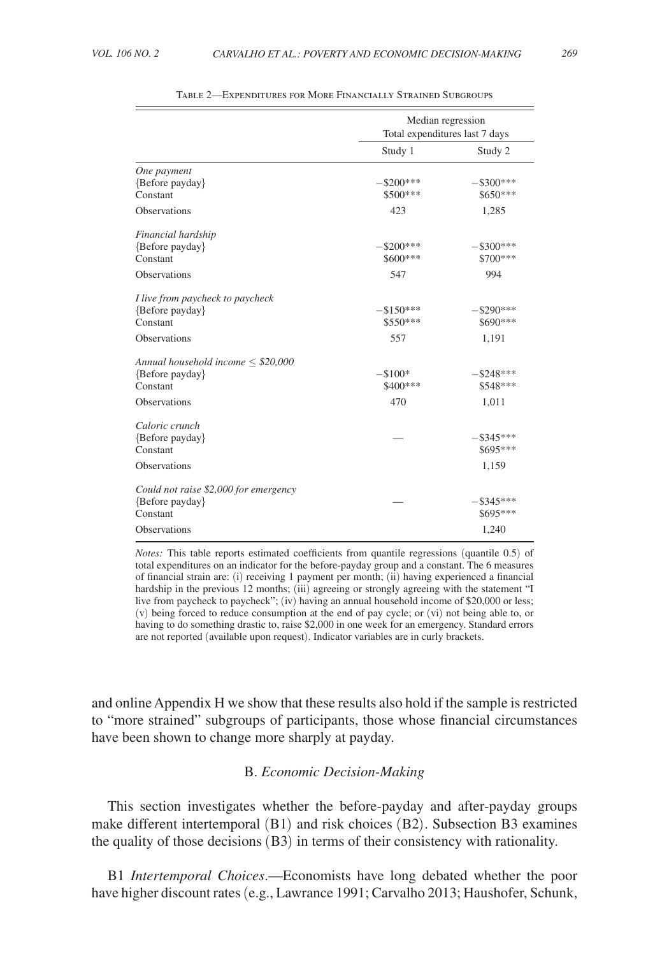<span id="page-9-0"></span>

|                                                                                             | Median regression<br>Total expenditures last 7 days |                                   |  |
|---------------------------------------------------------------------------------------------|-----------------------------------------------------|-----------------------------------|--|
|                                                                                             | Study 1                                             | Study 2                           |  |
| One payment<br>{Before payday}<br>Constant                                                  | $-$ \$200***<br>\$500 ***                           | $-$ \$300***<br>$$650***$         |  |
| <b>Observations</b>                                                                         | 423                                                 | 1,285                             |  |
| Financial hardship<br>{Before payday}<br>Constant<br><b>Observations</b>                    | $-$ \$200***<br>\$600***<br>547                     | $-$ \$300***<br>\$700***<br>994   |  |
|                                                                                             |                                                     |                                   |  |
| I live from paycheck to paycheck<br>{Before payday}<br>Constant                             | $-$150***$<br>$$550***$                             | -\$290***<br>$$690***$            |  |
| <b>Observations</b>                                                                         | 557                                                 | 1,191                             |  |
| Annual household income $\leq$ \$20,000<br>{Before payday}<br>Constant<br>Observations      | $-$100*$<br>\$400***<br>470                         | $-$ \$248***<br>\$548***<br>1,011 |  |
|                                                                                             |                                                     |                                   |  |
| Caloric crunch<br>{Before payday}<br>Constant                                               |                                                     | $-$ \$345***<br>$$695***$         |  |
| <b>Observations</b>                                                                         |                                                     | 1,159                             |  |
| Could not raise \$2,000 for emergency<br>{Before payday}<br>Constant<br><b>Observations</b> |                                                     | $-$ \$345***<br>\$695***<br>1,240 |  |

Table 2—Expenditures for More Financially Strained Subgroups

*Notes:* This table reports estimated coefficients from quantile regressions (quantile 0.5) of total expenditures on an indicator for the before-payday group and a constant. The 6 measures of financial strain are: (i) receiving 1 payment per month; (ii) having experienced a financial hardship in the previous 12 months; (iii) agreeing or strongly agreeing with the statement "I live from paycheck to paycheck"; (iv) having an annual household income of \$20,000 or less; (v) being forced to reduce consumption at the end of pay cycle; or (vi) not being able to, or having to do something drastic to, raise \$2,000 in one week for an emergency. Standard errors are not reported (available upon request). Indicator variables are in curly brackets.

and online Appendix H we show that these results also hold if the sample is restricted to "more strained" subgroups of participants, those whose financial circumstances have been shown to change more sharply at payday.

## B. *Economic Decision-Making*

This section investigates whether the before-payday and after-payday groups make different intertemporal (B1) and risk choices (B2). Subsection B3 examines the quality of those decisions (B3) in terms of their consistency with rationality.

B1 *Intertemporal Choices*.—Economists have long debated whether the poor have higher discount rates (e.g., Lawrance 1991; Carvalho 2013; Haushofer, Schunk,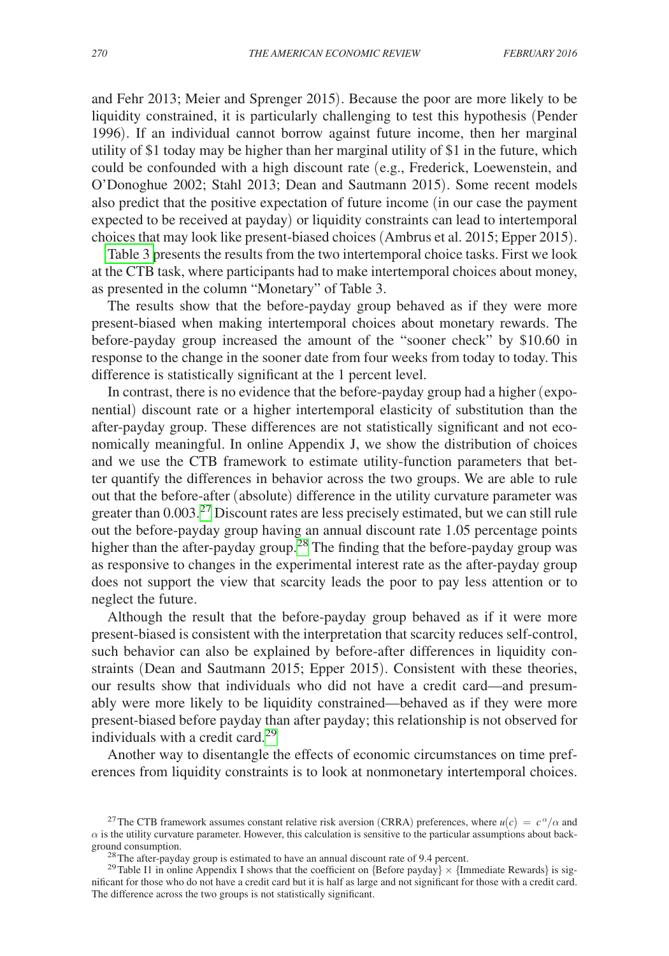and Fehr 2013; Meier and Sprenger 2015). Because the poor are more likely to be liquidity constrained, it is particularly challenging to test this hypothesis (Pender 1996). If an individual cannot borrow against future income, then her marginal utility of \$1 today may be higher than her marginal utility of \$1 in the future, which could be confounded with a high discount rate (e.g., Frederick, Loewenstein, and O'Donoghue 2002; Stahl 2013; Dean and Sautmann 2015). Some recent models also predict that the positive expectation of future income (in our case the payment expected to be received at payday) or liquidity constraints can lead to intertemporal choices that may look like present-biased choices (Ambrus et al. 2015; Epper 2015).

[Table 3 p](#page-11-0)resents the results from the two intertemporal choice tasks. First we look at the CTB task, where participants had to make intertemporal choices about money, as presented in the column "Monetary" of Table 3.

The results show that the before-payday group behaved as if they were more present-biased when making intertemporal choices about monetary rewards. The before-payday group increased the amount of the "sooner check" by \$10.60 in response to the change in the sooner date from four weeks from today to today. This difference is statistically significant at the 1 percent level.

In contrast, there is no evidence that the before-payday group had a higher (exponential) discount rate or a higher intertemporal elasticity of substitution than the after-payday group. These differences are not statistically significant and not economically meaningful. In online Appendix J, we show the distribution of choices and we use the CTB framework to estimate utility-function parameters that better quantify the differences in behavior across the two groups. We are able to rule out that the before-after (absolute) difference in the utility curvature parameter was greater than  $0.003<sup>27</sup>$  $0.003<sup>27</sup>$  $0.003<sup>27</sup>$  Discount rates are less precisely estimated, but we can still rule out the before-payday group having an annual discount rate 1.05 percentage points higher than the after-payday group.<sup>28</sup> The finding that the before-payday group was as responsive to changes in the experimental interest rate as the after-payday group does not support the view that scarcity leads the poor to pay less attention or to neglect the future.

Although the result that the before-payday group behaved as if it were more present-biased is consistent with the interpretation that scarcity reduces self-control, such behavior can also be explained by before-after differences in liquidity constraints (Dean and Sautmann 2015; Epper 2015). Consistent with these theories, our results show that individuals who did not have a credit card—and presumably were more likely to be liquidity constrained—behaved as if they were more present-biased before payday than after payday; this relationship is not observed for individuals with a credit card.<sup>[29](#page-10-2)</sup>

Another way to disentangle the effects of economic circumstances on time preferences from liquidity constraints is to look at nonmonetary intertemporal choices.

<span id="page-10-0"></span><sup>&</sup>lt;sup>27</sup>The CTB framework assumes constant relative risk aversion (CRRA) preferences, where  $u(c) = c^{\alpha}/\alpha$  and  $\alpha$  is the utility curvature parameter. However, this calculation is sensitive to the particular assumptions about back-<br>ground consumption.

<span id="page-10-2"></span><span id="page-10-1"></span>

<sup>&</sup>lt;sup>28</sup>The after-payday group is estimated to have an annual discount rate of 9.4 percent.<br><sup>29</sup>Table I1 in online Appendix I shows that the coefficient on {Before payday} × {Immediate Rewards} is significant for those who do not have a credit card but it is half as large and not significant for those with a credit card. The difference across the two groups is not statistically significant.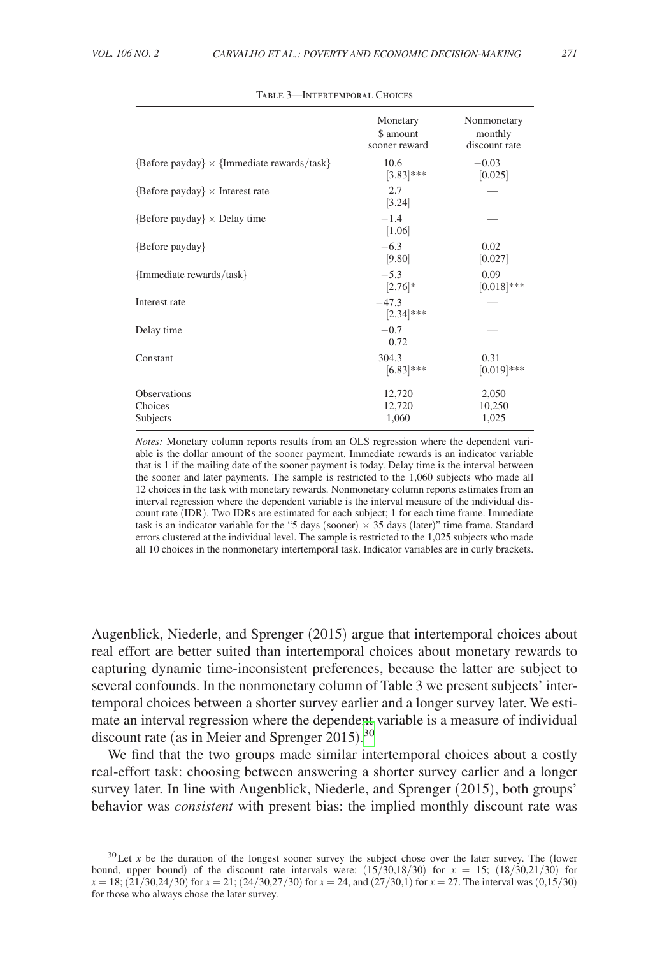<span id="page-11-0"></span>

|                                                   | Monetary<br>\$ amount<br>sooner reward | Nonmonetary<br>monthly<br>discount rate |
|---------------------------------------------------|----------------------------------------|-----------------------------------------|
| ${Before payday} \times {Immediate rewards/task}$ | 10.6<br>$[3.83]$ ***                   | $-0.03$<br>[0.025]                      |
| $\{Before$ payday $\} \times$ Interest rate       | 2.7<br>[3.24]                          |                                         |
| ${Before payday} \times$ Delay time               | $-1.4$<br>[1.06]                       |                                         |
| {Before payday}                                   | $-6.3$<br>[9.80]                       | 0.02<br> 0.027                          |
| {Immediate rewards/task}                          | $-5.3$<br>$[2.76]$ *                   | 0.09<br>$[0.018]***$                    |
| Interest rate                                     | $-47.3$<br>$[2.34]$ ***                |                                         |
| Delay time                                        | $-0.7$<br>0.72                         |                                         |
| Constant                                          | 304.3                                  | 0.31                                    |

 $[6.83]$ \*\*\*  $[0.019]$ \*\*\*

#### Table 3—Intertemporal Choices

*Notes:* Monetary column reports results from an OLS regression where the dependent variable is the dollar amount of the sooner payment. Immediate rewards is an indicator variable that is 1 if the mailing date of the sooner payment is today. Delay time is the interval between the sooner and later payments. The sample is restricted to the 1,060 subjects who made all 12 choices in the task with monetary rewards. Nonmonetary column reports estimates from an interval regression where the dependent variable is the interval measure of the individual discount rate (IDR). Two IDRs are estimated for each subject; 1 for each time frame. Immediate task is an indicator variable for the "5 days (sooner)  $\times$  35 days (later)" time frame. Standard errors clustered at the individual level. The sample is restricted to the 1,025 subjects who made all 10 choices in the nonmonetary intertemporal task. Indicator variables are in curly brackets.

Observations 12,720 2,050<br>Choices 12.720 10.250 Choices 12,720 10,250 Subjects 1,060 1,025

Augenblick, Niederle, and Sprenger (2015) argue that intertemporal choices about real effort are better suited than intertemporal choices about monetary rewards to capturing dynamic time-inconsistent preferences, because the latter are subject to several confounds. In the nonmonetary column of Table 3 we present subjects' intertemporal choices between a shorter survey earlier and a longer survey later. We estimate an interval regression where the dependent variable is a measure of individual discount rate (as in Meier and Sprenger 2015).<sup>[30](#page-11-1)</sup>

We find that the two groups made similar intertemporal choices about a costly real-effort task: choosing between answering a shorter survey earlier and a longer survey later. In line with Augenblick, Niederle, and Sprenger (2015), both groups' behavior was *consistent* with present bias: the implied monthly discount rate was

<span id="page-11-1"></span><sup>&</sup>lt;sup>30</sup>Let *x* be the duration of the longest sooner survey the subject chose over the later survey. The (lower bound, upper bound) of the discount rate intervals were:  $(15/30.18/30)$  for  $x = 15$ ;  $(18/30.21/30)$  for  $x = 18$ ; (21/30,24/30) for  $x = 21$ ; (24/30,27/30) for  $x = 24$ , and (27/30,1) for  $x = 27$ . The interval was (0,15/30) for those who always chose the later survey.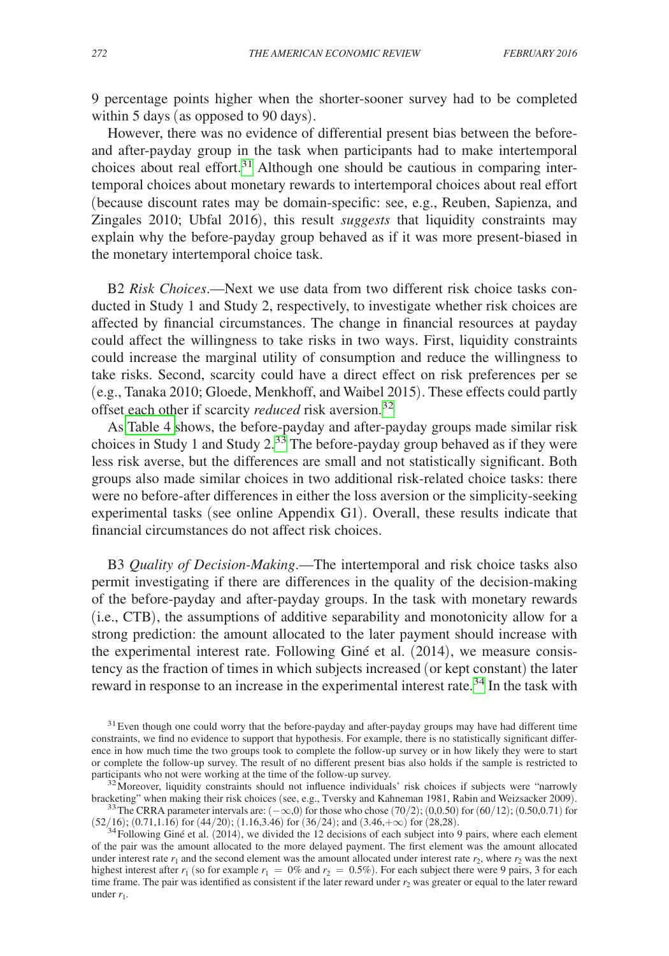9 percentage points higher when the shorter-sooner survey had to be completed within 5 days (as opposed to 90 days).

However, there was no evidence of differential present bias between the beforeand after-payday group in the task when participants had to make intertemporal choices about real effort.<sup>31</sup> Although one should be cautious in comparing intertemporal choices about monetary rewards to intertemporal choices about real effort (because discount rates may be domain-specific: see, e.g., Reuben, Sapienza, and Zingales 2010; Ubfal 2016), this result *suggests* that liquidity constraints may explain why the before-payday group behaved as if it was more present-biased in the monetary intertemporal choice task.

B2 *Risk Choices*.—Next we use data from two different risk choice tasks conducted in Study 1 and Study 2, respectively, to investigate whether risk choices are affected by financial circumstances. The change in financial resources at payday could affect the willingness to take risks in two ways. First, liquidity constraints could increase the marginal utility of consumption and reduce the willingness to take risks. Second, scarcity could have a direct effect on risk preferences per se (e.g., Tanaka 2010; Gloede, Menkhoff, and Waibel 2015). These effects could partly offset each other if scarcity *reduced* risk aversion.[32](#page-12-1)

As [Table 4 s](#page-13-0)hows, the before-payday and after-payday groups made similar risk choices in Study 1 and Study  $2^{33}$ . The before-payday group behaved as if they were less risk averse, but the differences are small and not statistically significant. Both groups also made similar choices in two additional risk-related choice tasks: there were no before-after differences in either the loss aversion or the simplicity-seeking experimental tasks (see online Appendix G1). Overall, these results indicate that financial circumstances do not affect risk choices.

B3 *Quality of Decision-Making*.—The intertemporal and risk choice tasks also permit investigating if there are differences in the quality of the decision-making of the before-payday and after-payday groups. In the task with monetary rewards (i.e., CTB), the assumptions of additive separability and monotonicity allow for a strong prediction: the amount allocated to the later payment should increase with the experimental interest rate. Following Giné et al. (2014), we measure consistency as the fraction of times in which subjects increased (or kept constant) the later reward in response to an increase in the experimental interest rate.<sup>[34](#page-12-3)</sup> In the task with

<span id="page-12-0"></span> $31$  Even though one could worry that the before-payday and after-payday groups may have had different time constraints, we find no evidence to support that hypothesis. For example, there is no statistically significant difference in how much time the two groups took to complete the follow-up survey or in how likely they were to start or complete the follow-up survey. The result of no different present bias also holds if the sample is restricted to

<span id="page-12-1"></span><sup>&</sup>lt;sup>32</sup>Moreover, liquidity constraints should not influence individuals' risk choices if subjects were "narrowly bracketing" when making their risk choices (see, e.g., Tversky and Kahneman 1981, Rabin and Weizsacker 2009).

<span id="page-12-2"></span><sup>&</sup>lt;sup>33</sup>The CRRA parameter intervals are:  $(-\infty, 0)$  for those who chose (70/2); (0,0.50) for (60/12); (0.50,0.71) for  $(52/16)$ ; (0.71,1.16) for (44/20); (1.16,3.46) for (36/24); and (3.46,+ $\infty$ ) for (28,28).<br><sup>34</sup>Following Giné et al. (2014), we divided the 12 decisions of each subject into 9 pairs, where each element

<span id="page-12-3"></span>of the pair was the amount allocated to the more delayed payment. The first element was the amount allocated under interest rate  $r_1$  and the second element was the amount allocated under interest rate  $r_2$ , where  $r_2$  was the next highest interest after  $r_1$  (so for example  $r_1 = 0\%$  and  $r_2 = 0.5\%$ ). For each subject there were 9 pairs, 3 for each time frame. The pair was identified as consistent if the later reward under  $r<sub>2</sub>$  was greater or equal to the later reward under  $r_1$ .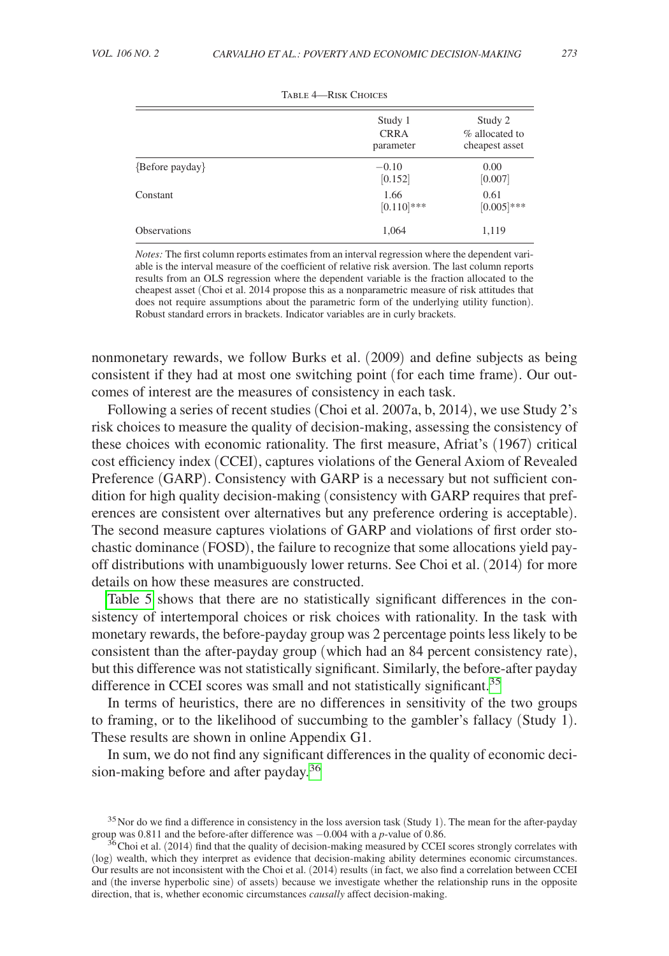<span id="page-13-0"></span>

|                        | Study 1<br><b>CRRA</b><br>parameter | Study 2<br>% allocated to<br>cheapest asset |
|------------------------|-------------------------------------|---------------------------------------------|
| $\{Before$ payday $\}$ | $-0.10$<br>[0.152]                  | 0.00<br>[0.007]                             |
| Constant               | 1.66<br>$[0.110]$ ***               | 0.61<br>$[0.005]***$                        |
| <b>Observations</b>    | 1,064                               | 1,119                                       |

Table 4—Risk Choices

*Notes:* The first column reports estimates from an interval regression where the dependent variable is the interval measure of the coefficient of relative risk aversion. The last column reports results from an OLS regression where the dependent variable is the fraction allocated to the cheapest asset (Choi et al. 2014 propose this as a nonparametric measure of risk attitudes that does not require assumptions about the parametric form of the underlying utility function). Robust standard errors in brackets. Indicator variables are in curly brackets.

nonmonetary rewards, we follow Burks et al. (2009) and define subjects as being consistent if they had at most one switching point (for each time frame). Our outcomes of interest are the measures of consistency in each task.

Following a series of recent studies (Choi et al. 2007a, b, 2014), we use Study 2's risk choices to measure the quality of decision-making, assessing the consistency of these choices with economic rationality. The first measure, Afriat's (1967) critical cost efficiency index (CCEI), captures violations of the General Axiom of Revealed Preference (GARP). Consistency with GARP is a necessary but not sufficient condition for high quality decision-making (consistency with GARP requires that preferences are consistent over alternatives but any preference ordering is acceptable). The second measure captures violations of GARP and violations of first order stochastic dominance (FOSD), the failure to recognize that some allocations yield payoff distributions with unambiguously lower returns. See Choi et al. (2014) for more details on how these measures are constructed.

[Table 5](#page-14-0) shows that there are no statistically significant differences in the consistency of intertemporal choices or risk choices with rationality. In the task with monetary rewards, the before-payday group was 2 percentage points less likely to be consistent than the after-payday group (which had an 84 percent consistency rate), but this difference was not statistically significant. Similarly, the before-after payday difference in CCEI scores was small and not statistically significant.<sup>[35](#page-13-1)</sup>

In terms of heuristics, there are no differences in sensitivity of the two groups to framing, or to the likelihood of succumbing to the gambler's fallacy (Study 1). These results are shown in online Appendix G1.

In sum, we do not find any significant differences in the quality of economic decision-making before and after payday.[36](#page-13-2)

<span id="page-13-1"></span><sup>&</sup>lt;sup>35</sup> Nor do we find a difference in consistency in the loss aversion task (Study 1). The mean for the after-payday group was 0.811 and the before-after difference was  $-0.004$  with a *p*-value of 0.86.

<span id="page-13-2"></span><sup>&</sup>lt;sup>36</sup> Choi et al. (2014) find that the quality of decision-making measured by CCEI scores strongly correlates with (log) wealth, which they interpret as evidence that decision-making ability determines economic circumstances. Our results are not inconsistent with the Choi et al. (2014) results (in fact, we also find a correlation between CCEI and (the inverse hyperbolic sine) of assets) because we investigate whether the relationship runs in the opposite direction, that is, whether economic circumstances *causally* affect decision-making.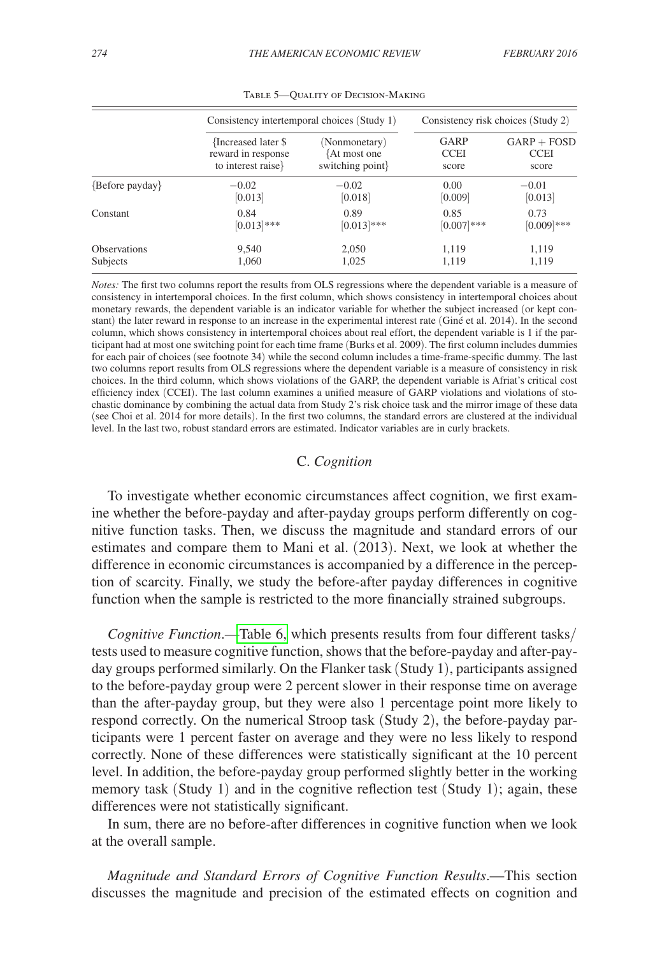<span id="page-14-0"></span>

|                        | Consistency intertemporal choices (Study 1) |                 | Consistency risk choices (Study 2) |               |  |
|------------------------|---------------------------------------------|-----------------|------------------------------------|---------------|--|
|                        | {Increased later \$                         | (Nonmonetary)   | <b>GARP</b>                        | $GARP + FOSD$ |  |
|                        | reward in response                          | {At most one    | <b>CCEI</b>                        | <b>CCEI</b>   |  |
|                        | to interest raise                           | switching point | score                              | score         |  |
| $\{Before$ payday $\}$ | $-0.02$                                     | $-0.02$         | 0.00                               | $-0.01$       |  |
|                        | [0.013]                                     | [0.018]         | [0.009]                            | [0.013]       |  |
| Constant               | 0.84                                        | 0.89            | 0.85                               | 0.73          |  |
|                        | $[0.013]***$                                | $[0.013]$ ***   | $[0.007]***$                       | $[0.009]$ *** |  |
| <b>Observations</b>    | 9,540                                       | 2,050           | 1,119                              | 1,119         |  |
| Subjects               | 1,060                                       | 1,025           | 1,119                              | 1,119         |  |

Table 5—Quality of Decision-Making

*Notes:* The first two columns report the results from OLS regressions where the dependent variable is a measure of consistency in intertemporal choices. In the first column, which shows consistency in intertemporal choices about monetary rewards, the dependent variable is an indicator variable for whether the subject increased (or kept constant) the later reward in response to an increase in the experimental interest rate (Giné et al. 2014). In the second column, which shows consistency in intertemporal choices about real effort, the dependent variable is 1 if the participant had at most one switching point for each time frame (Burks et al. 2009). The first column includes dummies for each pair of choices (see footnote 34) while the second column includes a time-frame-specific dummy. The last two columns report results from OLS regressions where the dependent variable is a measure of consistency in risk choices. In the third column, which shows violations of the GARP, the dependent variable is Afriat's critical cost efficiency index (CCEI). The last column examines a unified measure of GARP violations and violations of stochastic dominance by combining the actual data from Study 2's risk choice task and the mirror image of these data (see Choi et al. 2014 for more details). In the first two columns, the standard errors are clustered at the individual level. In the last two, robust standard errors are estimated. Indicator variables are in curly brackets.

# C. *Cognition*

To investigate whether economic circumstances affect cognition, we first examine whether the before-payday and after-payday groups perform differently on cognitive function tasks. Then, we discuss the magnitude and standard errors of our estimates and compare them to Mani et al. (2013). Next, we look at whether the difference in economic circumstances is accompanied by a difference in the perception of scarcity. Finally, we study the before-after payday differences in cognitive function when the sample is restricted to the more financially strained subgroups.

*Cognitive Function*.[—Table 6,](#page-15-0) which presents results from four different tasks/ tests used to measure cognitive function, shows that the before-payday and after-payday groups performed similarly. On the Flanker task (Study 1), participants assigned to the before-payday group were 2 percent slower in their response time on average than the after-payday group, but they were also 1 percentage point more likely to respond correctly. On the numerical Stroop task (Study 2), the before-payday participants were 1 percent faster on average and they were no less likely to respond correctly. None of these differences were statistically significant at the 10 percent level. In addition, the before-payday group performed slightly better in the working memory task (Study 1) and in the cognitive reflection test (Study 1); again, these differences were not statistically significant.

In sum, there are no before-after differences in cognitive function when we look at the overall sample.

*Magnitude and Standard Errors of Cognitive Function Results*.—This section discusses the magnitude and precision of the estimated effects on cognition and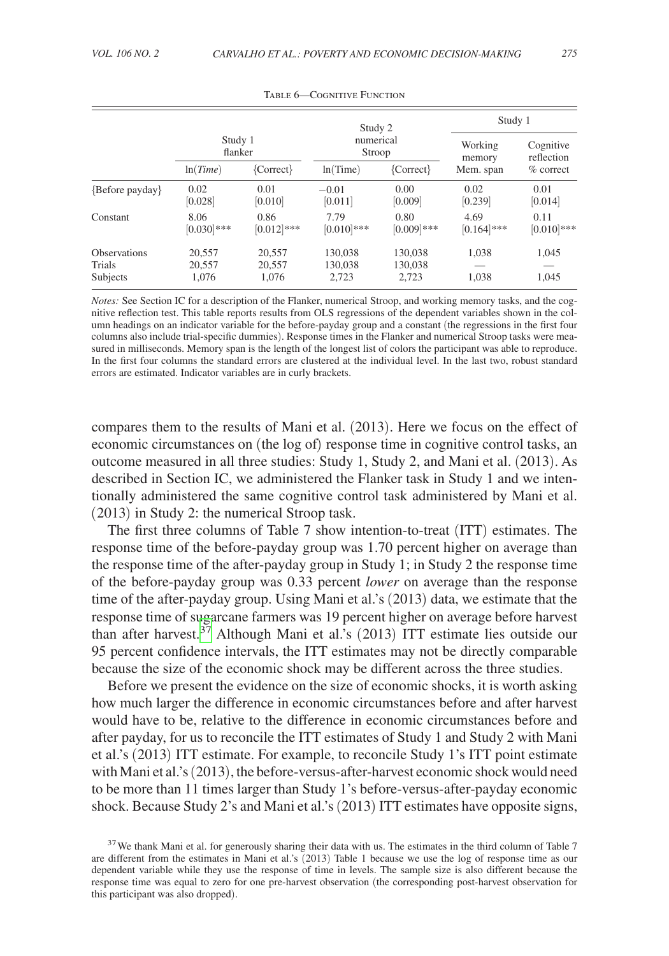<span id="page-15-0"></span>

|                                           |                           |                           | Study 2                     |                             | Study 1        |                |
|-------------------------------------------|---------------------------|---------------------------|-----------------------------|-----------------------------|----------------|----------------|
|                                           | Study 1                   |                           | numerical                   |                             | Working        | Cognitive      |
|                                           | flanker                   |                           | Stroop                      |                             | memory         | reflection     |
|                                           | ln(Time)                  | ${Correct}$               | ln(Time)                    | ${Correct}$                 | Mem. span      | $%$ correct    |
| {Before payday}                           | 0.02                      | 0.01                      | $-0.01$                     | 0.00                        | 0.02           | 0.01           |
|                                           | [0.028]                   | [0.010]                   | [0.011]                     | [0.009]                     | [0.239]        | [0.014]        |
| Constant                                  | 8.06                      | 0.86                      | 7.79                        | 0.80                        | 4.69           | 0.11           |
|                                           | $[0.030]$ ***             | $[0.012]$ ***             | $[0.010]$ ***               | $[0.009]$ ***               | $[0.164]$ ***  | $[0.010]$ ***  |
| <b>Observations</b><br>Trials<br>Subjects | 20.557<br>20,557<br>1.076 | 20,557<br>20,557<br>1,076 | 130,038<br>130,038<br>2,723 | 130,038<br>130,038<br>2.723 | 1,038<br>1,038 | 1,045<br>1,045 |

Table 6—Cognitive Function

*Notes:* See Section IC for a description of the Flanker, numerical Stroop, and working memory tasks, and the cognitive reflection test. This table reports results from OLS regressions of the dependent variables shown in the column headings on an indicator variable for the before-payday group and a constant (the regressions in the first four columns also include trial-specific dummies). Response times in the Flanker and numerical Stroop tasks were measured in milliseconds. Memory span is the length of the longest list of colors the participant was able to reproduce. In the first four columns the standard errors are clustered at the individual level. In the last two, robust standard errors are estimated. Indicator variables are in curly brackets.

compares them to the results of Mani et al. (2013). Here we focus on the effect of economic circumstances on (the log of) response time in cognitive control tasks, an outcome measured in all three studies: Study 1, Study 2, and Mani et al. (2013). As described in Section IC, we administered the Flanker task in Study 1 and we intentionally administered the same cognitive control task administered by Mani et al. (2013) in Study 2: the numerical Stroop task.

The first three columns of Table 7 show intention-to-treat (ITT) estimates. The response time of the before-payday group was 1.70 percent higher on average than the response time of the after-payday group in Study 1; in Study 2 the response time of the before-payday group was 0.33 percent *lower* on average than the response time of the after-payday group. Using Mani et al.'s (2013) data, we estimate that the response time of sugarcane farmers was 19 percent higher on average before harvest than after harvest. $37$  Although Mani et al.'s (2013) ITT estimate lies outside our 95 percent confidence intervals, the ITT estimates may not be directly comparable because the size of the economic shock may be different across the three studies.

Before we present the evidence on the size of economic shocks, it is worth asking how much larger the difference in economic circumstances before and after harvest would have to be, relative to the difference in economic circumstances before and after payday, for us to reconcile the ITT estimates of Study 1 and Study 2 with Mani et al.'s (2013) ITT estimate. For example, to reconcile Study 1's ITT point estimate with Mani et al.'s (2013), the before-versus-after-harvest economic shock would need to be more than 11 times larger than Study 1's before-versus-after-payday economic shock. Because Study 2's and Mani et al.'s (2013) ITT estimates have opposite signs,

<span id="page-15-1"></span> $37$  We thank Mani et al. for generously sharing their data with us. The estimates in the third column of Table 7 are different from the estimates in Mani et al.'s (2013) Table 1 because we use the log of response time as our dependent variable while they use the response of time in levels. The sample size is also different because the response time was equal to zero for one pre-harvest observation (the corresponding post-harvest observation for this participant was also dropped).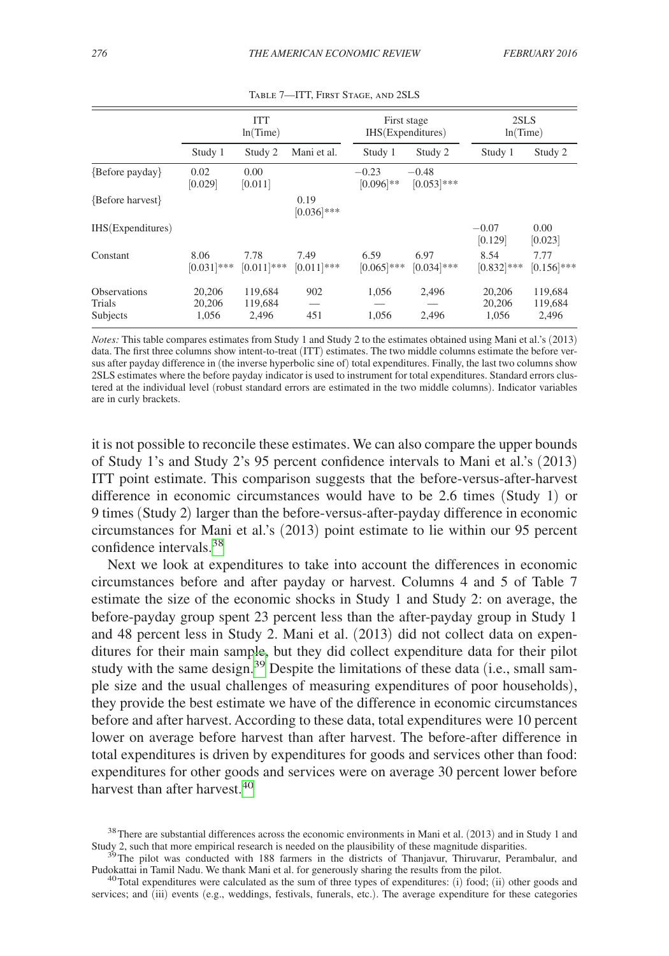<span id="page-16-0"></span>

|                                           | <b>ITT</b><br>ln(Time)    |                             | First stage<br>IHS(Expenditures) |                         | 2SLS<br>ln(Time)        |                           |                             |
|-------------------------------------------|---------------------------|-----------------------------|----------------------------------|-------------------------|-------------------------|---------------------------|-----------------------------|
|                                           | Study 1                   | Study 2                     | Mani et al.                      | Study 1                 | Study 2                 | Study 1                   | Study 2                     |
| {Before payday}                           | 0.02<br>[0.029]           | 0.00<br>[0.011]             |                                  | $-0.23$<br>$[0.096]$ ** | $-0.48$<br>$[0.053]***$ |                           |                             |
| {Before harvest}                          |                           |                             | 0.19<br>$[0.036]$ ***            |                         |                         |                           |                             |
| IHS(Expenditures)                         |                           |                             |                                  |                         |                         | $-0.07$<br>[0.129]        | 0.00<br>[0.023]             |
| Constant                                  | 8.06<br>$[0.031]$ ***     | 7.78<br>$[0.011]$ ***       | 7.49<br>$[0.011]$ ***            | 6.59<br>$[0.065]$ ***   | 6.97<br>$[0.034]***$    | 8.54<br>$[0.832]$ ***     | 7.77<br>$[0.156]$ ***       |
| <b>Observations</b><br>Trials<br>Subjects | 20,206<br>20,206<br>1,056 | 119,684<br>119,684<br>2,496 | 902<br>451                       | 1,056<br>1,056          | 2,496<br>2,496          | 20,206<br>20,206<br>1.056 | 119,684<br>119,684<br>2,496 |

Table 7—ITT, First Stage, and 2SLS

*Notes:* This table compares estimates from Study 1 and Study 2 to the estimates obtained using Mani et al.'s (2013) data. The first three columns show intent-to-treat (ITT) estimates. The two middle columns estimate the before versus after payday difference in (the inverse hyperbolic sine of) total expenditures. Finally, the last two columns show 2SLS estimates where the before payday indicator is used to instrument for total expenditures. Standard errors clustered at the individual level (robust standard errors are estimated in the two middle columns). Indicator variables are in curly brackets.

it is not possible to reconcile these estimates. We can also compare the upper bounds of Study 1's and Study 2's 95 percent confidence intervals to Mani et al.'s (2013) ITT point estimate. This comparison suggests that the before-versus-after-harvest difference in economic circumstances would have to be 2.6 times (Study 1) or 9 times (Study 2) larger than the before-versus-after-payday difference in economic circumstances for Mani et al.'s (2013) point estimate to lie within our 95 percent confidence intervals.<sup>[38](#page-16-1)</sup>

Next we look at expenditures to take into account the differences in economic circumstances before and after payday or harvest. Columns 4 and 5 of Table 7 estimate the size of the economic shocks in Study 1 and Study 2: on average, the before-payday group spent 23 percent less than the after-payday group in Study 1 and 48 percent less in Study 2. Mani et al. (2013) did not collect data on expenditures for their main sample, but they did collect expenditure data for their pilot study with the same design.<sup>[39](#page-16-2)</sup> Despite the limitations of these data (i.e., small sample size and the usual challenges of measuring expenditures of poor households), they provide the best estimate we have of the difference in economic circumstances before and after harvest. According to these data, total expenditures were 10 percent lower on average before harvest than after harvest. The before-after difference in total expenditures is driven by expenditures for goods and services other than food: expenditures for other goods and services were on average 30 percent lower before harvest than after harvest  $40$ 

<span id="page-16-1"></span> $38$ There are substantial differences across the economic environments in Mani et al. (2013) and in Study 1 and Study 2, such that more empirical research is needed on the plausibility of these magnitude disparities.

<span id="page-16-2"></span> $3<sup>5</sup>$  The pilot was conducted with 188 farmers in the districts of Thanjavur, Thiruvarur, Perambalur, and Pudokattai in Tamil Nadu. We thank Mani et al. for generously sharing the results from the pilot.

<span id="page-16-3"></span><sup>&</sup>lt;sup>40</sup>Total expenditures were calculated as the sum of three types of expenditures: (i) food; (ii) other goods and services; and (iii) events (e.g., weddings, festivals, funerals, etc.). The average expenditure for these categories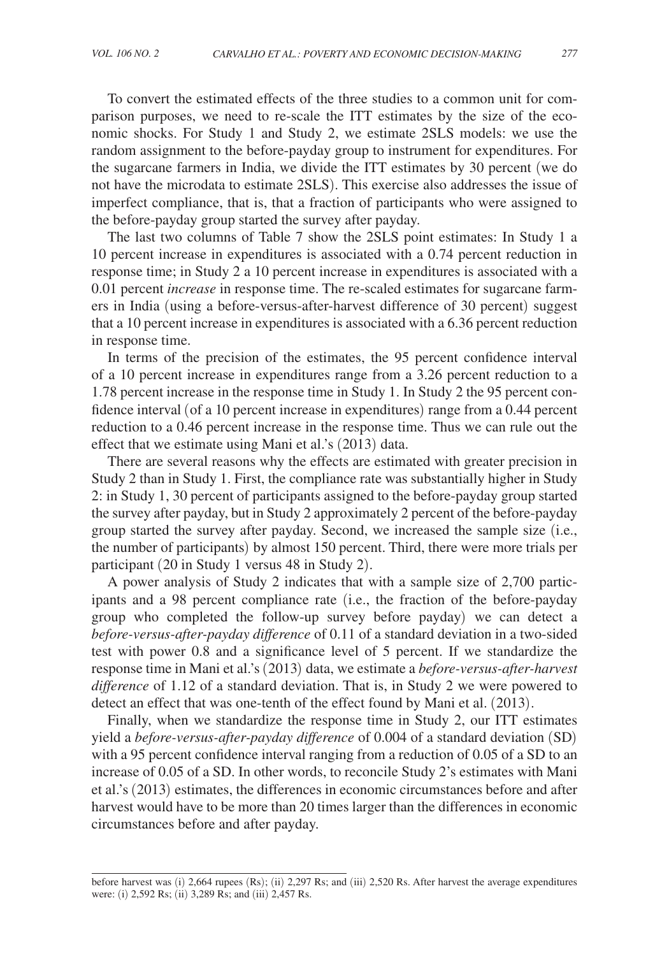To convert the estimated effects of the three studies to a common unit for comparison purposes, we need to re-scale the ITT estimates by the size of the economic shocks. For Study 1 and Study 2, we estimate 2SLS models: we use the random assignment to the before-payday group to instrument for expenditures. For the sugarcane farmers in India, we divide the ITT estimates by 30 percent (we do not have the microdata to estimate 2SLS). This exercise also addresses the issue of imperfect compliance, that is, that a fraction of participants who were assigned to the before-payday group started the survey after payday.

The last two columns of Table 7 show the 2SLS point estimates: In Study 1 a 10 percent increase in expenditures is associated with a 0.74 percent reduction in response time; in Study 2 a 10 percent increase in expenditures is associated with a 0.01 percent *increase* in response time. The re-scaled estimates for sugarcane farmers in India (using a before-versus-after-harvest difference of 30 percent) suggest that a 10 percent increase in expenditures is associated with a 6.36 percent reduction in response time.

In terms of the precision of the estimates, the 95 percent confidence interval of a 10 percent increase in expenditures range from a 3.26 percent reduction to a 1.78 percent increase in the response time in Study 1. In Study 2 the 95 percent confidence interval (of a 10 percent increase in expenditures) range from a 0.44 percent reduction to a 0.46 percent increase in the response time. Thus we can rule out the effect that we estimate using Mani et al.'s (2013) data.

There are several reasons why the effects are estimated with greater precision in Study 2 than in Study 1. First, the compliance rate was substantially higher in Study 2: in Study 1, 30 percent of participants assigned to the before-payday group started the survey after payday, but in Study 2 approximately 2 percent of the before-payday group started the survey after payday. Second, we increased the sample size (i.e., the number of participants) by almost 150 percent. Third, there were more trials per participant (20 in Study 1 versus 48 in Study 2).

A power analysis of Study 2 indicates that with a sample size of 2,700 participants and a 98 percent compliance rate (i.e., the fraction of the before-payday group who completed the follow-up survey before payday) we can detect a *before-versus-after-payday difference* of 0.11 of a standard deviation in a two-sided test with power 0.8 and a significance level of 5 percent. If we standardize the response time in Mani et al.'s (2013) data, we estimate a *before-versus-after-harvest difference* of 1.12 of a standard deviation. That is, in Study 2 we were powered to detect an effect that was one-tenth of the effect found by Mani et al. (2013).

Finally, when we standardize the response time in Study 2, our ITT estimates yield a *before-versus-after-payday difference* of 0.004 of a standard deviation (SD) with a 95 percent confidence interval ranging from a reduction of 0.05 of a SD to an increase of 0.05 of a SD. In other words, to reconcile Study 2's estimates with Mani et al.'s (2013) estimates, the differences in economic circumstances before and after harvest would have to be more than 20 times larger than the differences in economic circumstances before and after payday.

before harvest was (i) 2,664 rupees (Rs); (ii) 2,297 Rs; and (iii) 2,520 Rs. After harvest the average expenditures were: (i) 2,592 Rs; (ii) 3,289 Rs; and (iii) 2,457 Rs.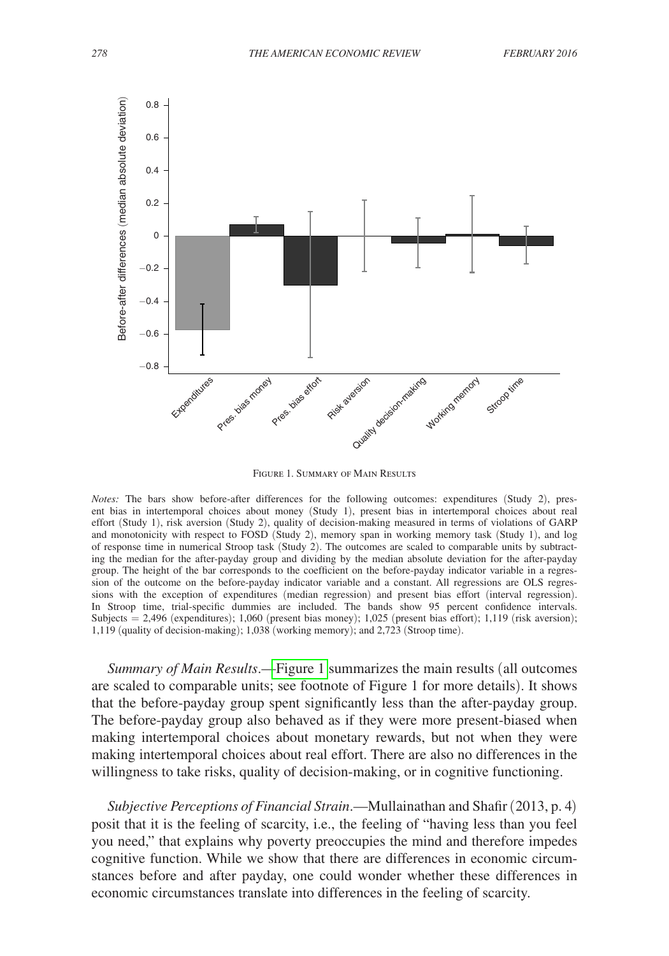

Figure 1. Summary of Main Results

*Notes:* The bars show before-after differences for the following outcomes: expenditures (Study 2), present bias in intertemporal choices about money (Study 1), present bias in intertemporal choices about real effort (Study 1), risk aversion (Study 2), quality of decision-making measured in terms of violations of GARP and monotonicity with respect to FOSD (Study 2), memory span in working memory task (Study 1), and log of response time in numerical Stroop task (Study 2). The outcomes are scaled to comparable units by subtracting the median for the after-payday group and dividing by the median absolute deviation for the after-payday group. The height of the bar corresponds to the coefficient on the before-payday indicator variable in a regression of the outcome on the before-payday indicator variable and a constant. All regressions are OLS regressions with the exception of expenditures (median regression) and present bias effort (interval regression). In Stroop time, trial-specific dummies are included. The bands show 95 percent confidence intervals. Subjects = 2,496 (expenditures); 1,060 (present bias money); 1,025 (present bias effort); 1,119 (risk aversion); 1,119 (quality of decision-making); 1,038 (working memory); and 2,723 (Stroop time).

*Summary of Main Results*.—Figure 1 summarizes the main results (all outcomes are scaled to comparable units; see footnote of Figure 1 for more details). It shows that the before-payday group spent significantly less than the after-payday group. The before-payday group also behaved as if they were more present-biased when making intertemporal choices about monetary rewards, but not when they were making intertemporal choices about real effort. There are also no differences in the willingness to take risks, quality of decision-making, or in cognitive functioning.

*Subjective Perceptions of Financial Strain*.—Mullainathan and Shafir (2013, p. 4) posit that it is the feeling of scarcity, i.e., the feeling of "having less than you feel you need," that explains why poverty preoccupies the mind and therefore impedes cognitive function. While we show that there are differences in economic circumstances before and after payday, one could wonder whether these differences in economic circumstances translate into differences in the feeling of scarcity.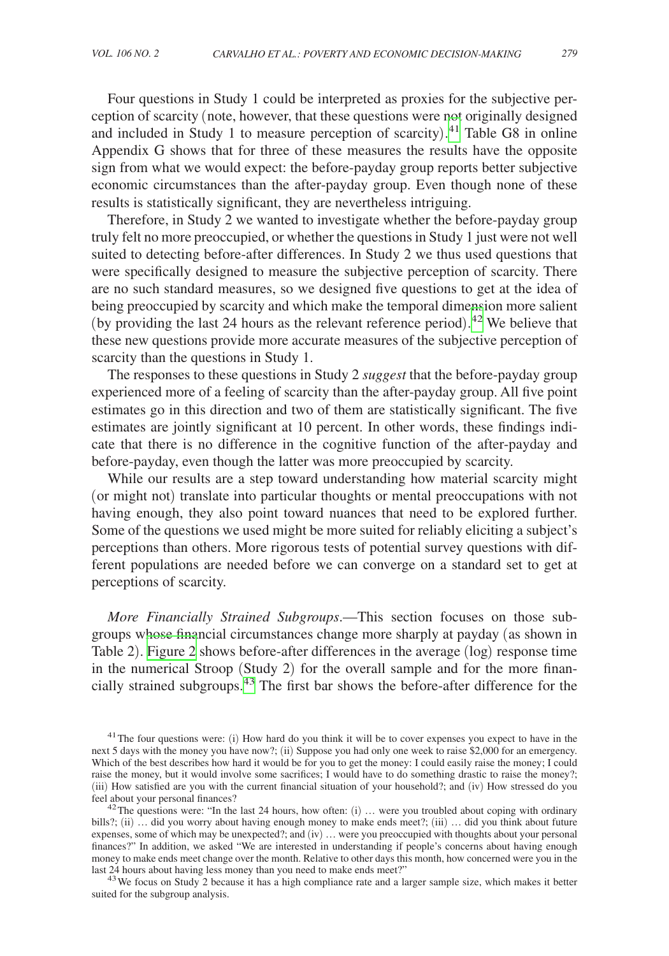Four questions in Study 1 could be interpreted as proxies for the subjective perception of scarcity (note, however, that these questions were not originally designed and included in Study 1 to measure perception of scarcity). [41](#page-19-0) Table G8 in online Appendix G shows that for three of these measures the results have the opposite sign from what we would expect: the before-payday group reports better subjective economic circumstances than the after-payday group. Even though none of these results is statistically significant, they are nevertheless intriguing.

Therefore, in Study 2 we wanted to investigate whether the before-payday group truly felt no more preoccupied, or whether the questions in Study 1 just were not well suited to detecting before-after differences. In Study 2 we thus used questions that were specifically designed to measure the subjective perception of scarcity. There are no such standard measures, so we designed five questions to get at the idea of being preoccupied by scarcity and which make the temporal dimension more salient (by providing the last 24 hours as the relevant reference period). [42](#page-19-1) We believe that these new questions provide more accurate measures of the subjective perception of scarcity than the questions in Study 1.

The responses to these questions in Study 2 *suggest* that the before-payday group experienced more of a feeling of scarcity than the after-payday group. All five point estimates go in this direction and two of them are statistically significant. The five estimates are jointly significant at 10 percent. In other words, these findings indicate that there is no difference in the cognitive function of the after-payday and before-payday, even though the latter was more preoccupied by scarcity.

While our results are a step toward understanding how material scarcity might (or might not) translate into particular thoughts or mental preoccupations with not having enough, they also point toward nuances that need to be explored further. Some of the questions we used might be more suited for reliably eliciting a subject's perceptions than others. More rigorous tests of potential survey questions with different populations are needed before we can converge on a standard set to get at perceptions of scarcity.

*More Financially Strained Subgroups*.—This section focuses on those subgroups whose financial circumstances change more sharply at payday (as shown in Table 2). [Figure 2](#page-20-1) shows before-after differences in the average (log) response time in the numerical Stroop (Study 2) for the overall sample and for the more financially strained subgroups[.43](#page-19-2) The first bar shows the before-after difference for the

<span id="page-19-2"></span><sup>43</sup> We focus on Study 2 because it has a high compliance rate and a larger sample size, which makes it better suited for the subgroup analysis.

<span id="page-19-0"></span><sup>&</sup>lt;sup>41</sup>The four questions were: (i) How hard do you think it will be to cover expenses you expect to have in the next 5 days with the money you have now?; (ii) Suppose you had only one week to raise \$2,000 for an emergency. Which of the best describes how hard it would be for you to get the money: I could easily raise the money; I could raise the money, but it would involve some sacrifices; I would have to do something drastic to raise the money?; (iii) How satisfied are you with the current financial situation of your household?; and (iv) How stressed do you feel about your personal finances?

<span id="page-19-1"></span><sup>&</sup>lt;sup>42</sup>The questions were: "In the last 24 hours, how often: (i) ... were you troubled about coping with ordinary bills?; (ii) ... did you worry about having enough money to make ends meet?; (iii) ... did you think about future expenses, some of which may be unexpected?; and (iv) … were you preoccupied with thoughts about your personal finances?" In addition, we asked "We are interested in understanding if people's concerns about having enough money to make ends meet change over the month. Relative to other days this month, how concerned were you in the last 24 hours about having less money than you need to make ends meet?"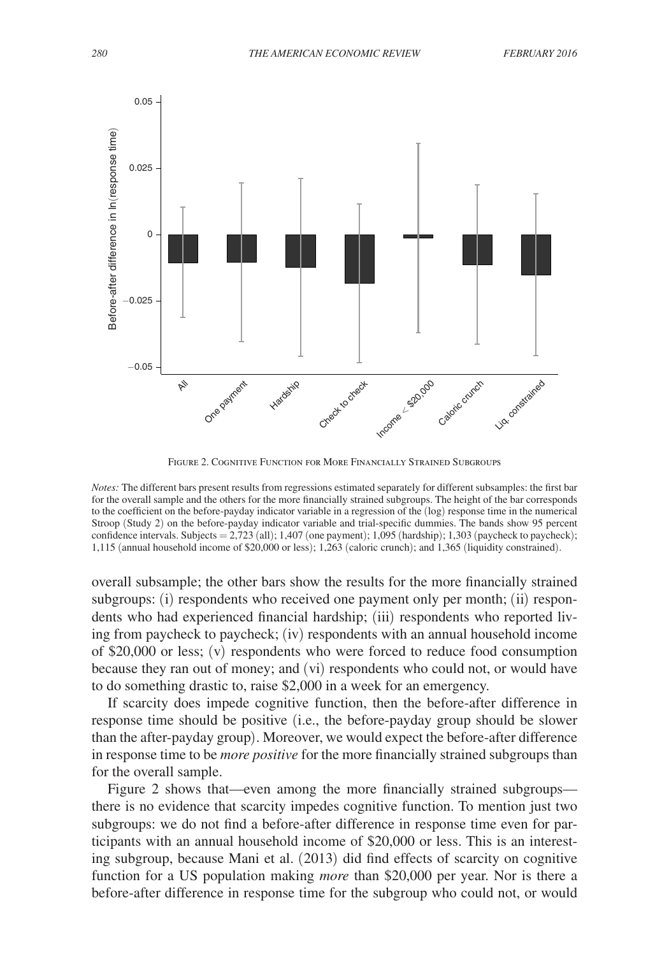<span id="page-20-0"></span>

<span id="page-20-1"></span>Figure 2. Cognitive Function for More Financially Strained Subgroups

*Notes:* The different bars present results from regressions estimated separately for different subsamples: the first bar for the overall sample and the others for the more financially strained subgroups. The height of the bar corresponds to the coefficient on the before-payday indicator variable in a regression of the (log) response time in the numerical Stroop (Study 2) on the before-payday indicator variable and trial-specific dummies. The bands show 95 percent confidence intervals. Subjects = 2,723 (all); 1,407 (one payment); 1,095 (hardship); 1,303 (paycheck to paycheck); 1,115 (annual household income of \$20,000 or less); 1,263 (caloric crunch); and 1,365 (liquidity constrained).

overall subsample; the other bars show the results for the more financially strained subgroups: (i) respondents who received one payment only per month; (ii) respondents who had experienced financial hardship; (iii) respondents who reported living from paycheck to paycheck; (iv) respondents with an annual household income of \$20,000 or less; (v) respondents who were forced to reduce food consumption because they ran out of money; and (vi) respondents who could not, or would have to do something drastic to, raise \$2,000 in a week for an emergency.

If scarcity does impede cognitive function, then the before-after difference in response time should be positive (i.e., the before-payday group should be slower than the after-payday group). Moreover, we would expect the before-after difference in response time to be *more positive* for the more financially strained subgroups than for the overall sample.

Figure 2 shows that—even among the more financially strained subgroups there is no evidence that scarcity impedes cognitive function. To mention just two subgroups: we do not find a before-after difference in response time even for participants with an annual household income of \$20,000 or less. This is an interesting subgroup, because Mani et al. (2013) did find effects of scarcity on cognitive function for a US population making *more* than \$20,000 per year. Nor is there a before-after difference in response time for the subgroup who could not, or would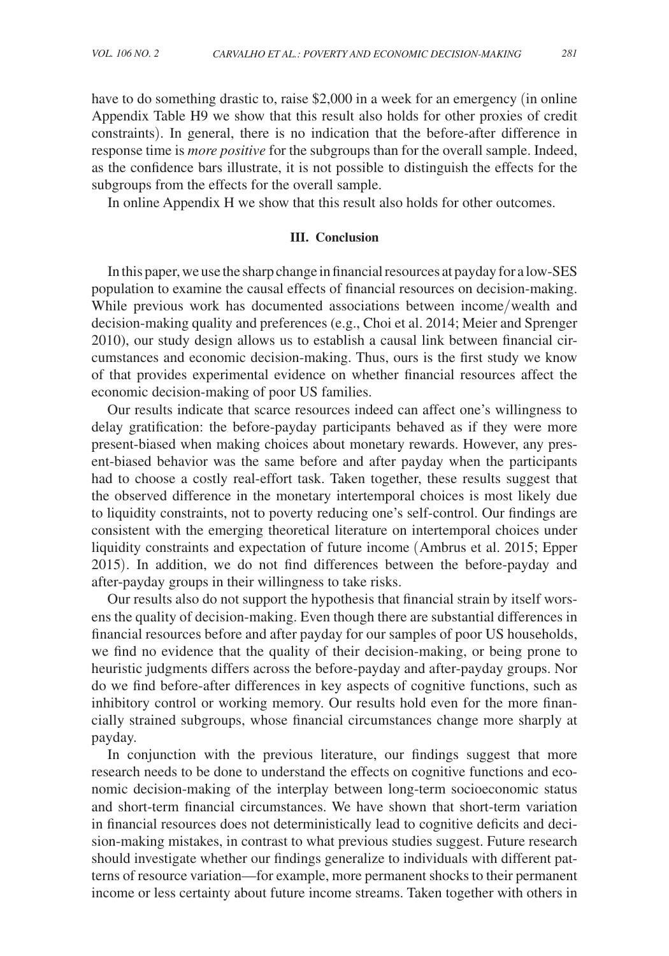have to do something drastic to, raise \$2,000 in a week for an emergency (in online Appendix Table H9 we show that this result also holds for other proxies of credit constraints). In general, there is no indication that the before-after difference in response time is *more positive* for the subgroups than for the overall sample. Indeed, as the confidence bars illustrate, it is not possible to distinguish the effects for the subgroups from the effects for the overall sample.

In online Appendix H we show that this result also holds for other outcomes.

# **III. Conclusion**

In this paper, we use the sharp change in financial resources at payday for a low-SES population to examine the causal effects of financial resources on decision-making. While previous work has documented associations between income/wealth and decision-making quality and preferences (e.g., Choi et al. 2014; Meier and Sprenger 2010), our study design allows us to establish a causal link between financial circumstances and economic decision-making. Thus, ours is the first study we know of that provides experimental evidence on whether financial resources affect the economic decision-making of poor US families.

Our results indicate that scarce resources indeed can affect one's willingness to delay gratification: the before-payday participants behaved as if they were more present-biased when making choices about monetary rewards. However, any present-biased behavior was the same before and after payday when the participants had to choose a costly real-effort task. Taken together, these results suggest that the observed difference in the monetary intertemporal choices is most likely due to liquidity constraints, not to poverty reducing one's self-control. Our findings are consistent with the emerging theoretical literature on intertemporal choices under liquidity constraints and expectation of future income (Ambrus et al. 2015; Epper 2015). In addition, we do not find differences between the before-payday and after-payday groups in their willingness to take risks.

Our results also do not support the hypothesis that financial strain by itself worsens the quality of decision-making. Even though there are substantial differences in financial resources before and after payday for our samples of poor US households, we find no evidence that the quality of their decision-making, or being prone to heuristic judgments differs across the before-payday and after-payday groups. Nor do we find before-after differences in key aspects of cognitive functions, such as inhibitory control or working memory. Our results hold even for the more financially strained subgroups, whose financial circumstances change more sharply at payday.

In conjunction with the previous literature, our findings suggest that more research needs to be done to understand the effects on cognitive functions and economic decision-making of the interplay between long-term socioeconomic status and short-term financial circumstances. We have shown that short-term variation in financial resources does not deterministically lead to cognitive deficits and decision-making mistakes, in contrast to what previous studies suggest. Future research should investigate whether our findings generalize to individuals with different patterns of resource variation—for example, more permanent shocks to their permanent income or less certainty about future income streams. Taken together with others in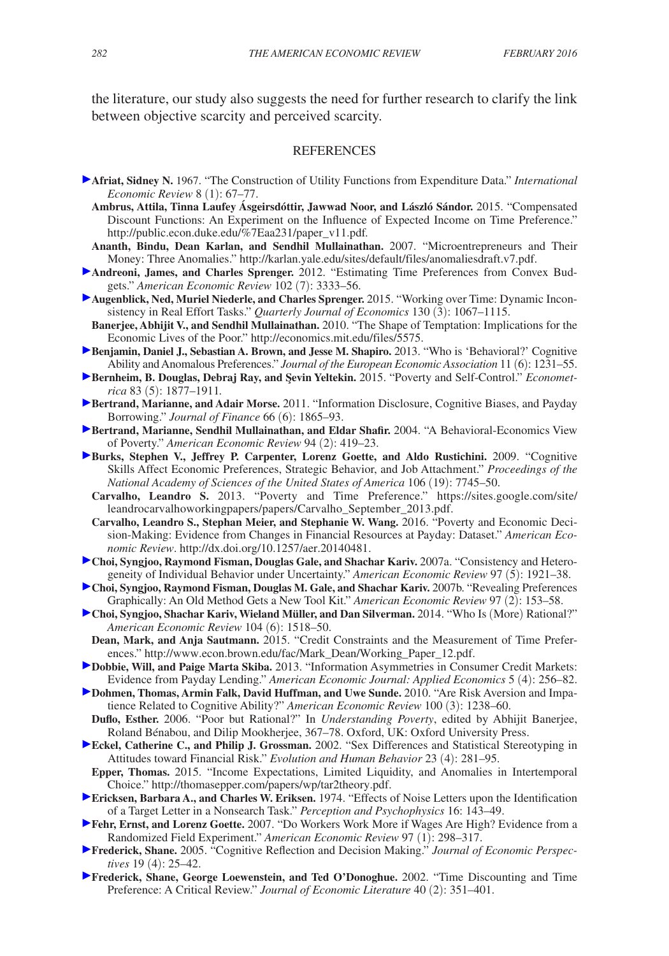the literature, our study also suggests the need for further research to clarify the link between objective scarcity and perceived scarcity.

#### REFERENCES

- **Afriat, Sidney N.** 1967. "The Construction of Utility Functions from Expenditure Data." *International Economic Review* 8 (1): 67–77.
	- **Ambrus, Attila, Tinna Laufey Ásgeirsdóttir, Jawwad Noor, and László Sándor.** 2015. "Compensated Discount Functions: An Experiment on the Influence of Expected Income on Time Preference." http://public.econ.duke.edu/%7Eaa231/paper\_v11.pdf*.*
- **Ananth, Bindu, Dean Karlan, and Sendhil Mullainathan.** 2007. "Microentrepreneurs and Their Money: Three Anomalies." http://karlan.yale.edu/sites/default/files/anomaliesdraft.v7.pdf.
- **Andreoni, James, and Charles Sprenger.** 2012. "Estimating Time Preferences from Convex Budgets." *American Economic Review* 102 (7): 3333–56.
- **Augenblick, Ned, Muriel Niederle, and Charles Sprenger.** 2015. "Working over Time: Dynamic Inconsistency in Real Effort Tasks." *Quarterly Journal of Economics* 130 (3): 1067–1115.
- **Banerjee, Abhijit V., and Sendhil Mullainathan.** 2010. "The Shape of Temptation: Implications for the Economic Lives of the Poor." http://economics.mit.edu/files/5575.
- **Benjamin, Daniel J., Sebastian A. Brown, and Jesse M. Shapiro. 2013. "Who is 'Behavioral?' Cognitive** Ability and Anomalous Preferences." *Journal of the European Economic Association* 11 (6): 1231–55.
- Bernheim, B. Douglas, Debraj Ray, and Şevin Yeltekin. 2015. "Poverty and Self-Control." *Econometrica* 83 (5): 1877–1911*.*
- **Bertrand, Marianne, and Adair Morse.** 2011. "Information Disclosure, Cognitive Biases, and Payday Borrowing." *Journal of Finance* 66 (6): 1865–93.
- **Bertrand, Marianne, Sendhil Mullainathan, and Eldar Shafir.** 2004. "A Behavioral-Economics View of Poverty." *American Economic Review* 94 (2): 419–23.
- **Burks, Stephen V., Jeffrey P. Carpenter, Lorenz Goette, and Aldo Rustichini.** 2009. "Cognitive Skills Affect Economic Preferences, Strategic Behavior, and Job Attachment." *Proceedings of the National Academy of Sciences of the United States of America* 106 (19): 7745–50.
	- **Carvalho, Leandro S.** 2013. "Poverty and Time Preference." https://sites.google.com/site/ leandrocarvalhoworkingpapers/papers/Carvalho\_September\_2013.pdf.
	- **Carvalho, Leandro S., Stephan Meier, and Stephanie W. Wang.** 2016. "Poverty and Economic Decision-Making: Evidence from Changes in Financial Resources at Payday: Dataset." *American Economic Review*. http://dx.doi.org/10.1257/aer.20140481.
- **Choi, Syngjoo, Raymond Fisman, Douglas Gale, and Shachar Kariv.** 2007a. "Consistency and Heterogeneity of Individual Behavior under Uncertainty." *American Economic Review* 97 (5): 1921–38.
- **Choi, Syngjoo, Raymond Fisman, Douglas M. Gale, and Shachar Kariv.** 2007b. "Revealing Preferences Graphically: An Old Method Gets a New Tool Kit." *American Economic Review* 97 (2): 153–58.
- **Choi, Syngjoo, Shachar Kariv, Wieland Müller, and Dan Silverman.** 2014. "Who Is (More) Rational?" *American Economic Review* 104 (6): 1518–50.
- **Dean, Mark, and Anja Sautmann.** 2015. "Credit Constraints and the Measurement of Time Preferences." http://www.econ.brown.edu/fac/Mark\_Dean/Working\_Paper\_12.pdf.
- **Dobbie, Will, and Paige Marta Skiba.** 2013. "Information Asymmetries in Consumer Credit Markets: Evidence from Payday Lending." *American Economic Journal: Applied Economics* 5 (4): 256–82.
- **Dohmen, Thomas, Armin Falk, David Huffman, and Uwe Sunde.** 2010. "Are Risk Aversion and Impatience Related to Cognitive Ability?" *American Economic Review* 100 (3): 1238–60. **Duflo, Esther.** 2006. "Poor but Rational?" In *Understanding Poverty*, edited by Abhijit Banerjee,
- Roland Bénabou, and Dilip Mookherjee, 367–78. Oxford, UK: Oxford University Press.
- **Eckel, Catherine C., and Philip J. Grossman.** 2002. "Sex Differences and Statistical Stereotyping in Attitudes toward Financial Risk." *Evolution and Human Behavior* 23 (4): 281–95.
- **Epper, Thomas.** 2015. "Income Expectations, Limited Liquidity, and Anomalies in Intertemporal Choice." http://thomasepper.com/papers/wp/tar2theory.pdf.
- **Ericksen, Barbara A., and Charles W. Eriksen.** 1974. "Effects of Noise Letters upon the Identification of a Target Letter in a Nonsearch Task." *Perception and Psychophysics* 16: 143–49.
- **Fehr, Ernst, and Lorenz Goette.** 2007. "Do Workers Work More if Wages Are High? Evidence from a Randomized Field Experiment." *American Economic Review* 97 (1): 298–317.
- **Frederick, Shane.** 2005. "Cognitive Reflection and Decision Making." *Journal of Economic Perspectives* 19 (4): 25–42.
- **Frederick, Shane, George Loewenstein, and Ted O'Donoghue.** 2002. "Time Discounting and Time Preference: A Critical Review." *Journal of Economic Literature* 40 (2): 351–401.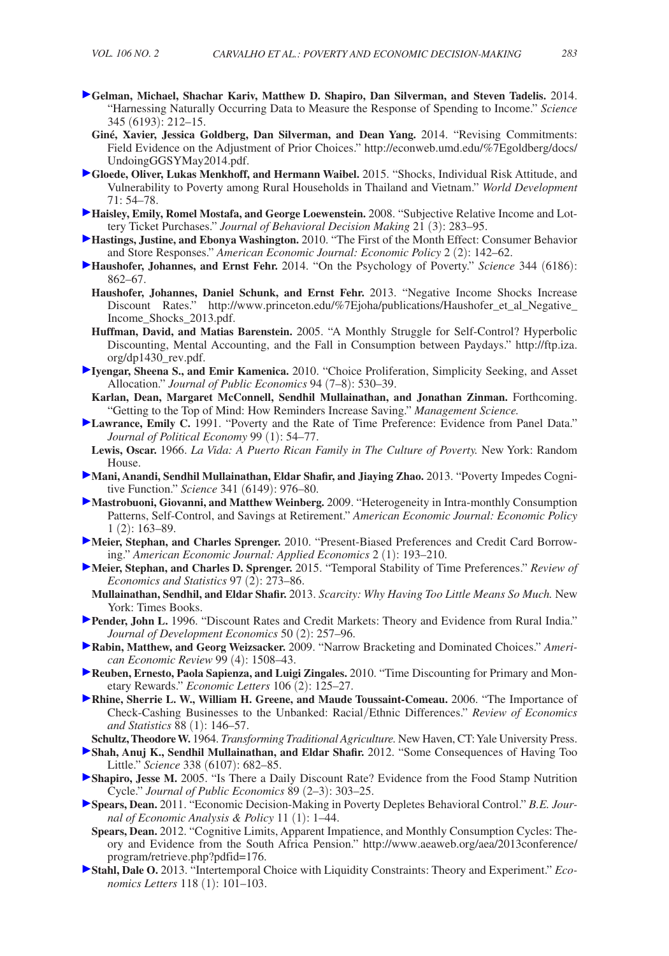- **Gelman, Michael, Shachar Kariv, Matthew D. Shapiro, Dan Silverman, and Steven Tadelis.** 2014. "Harnessing Naturally Occurring Data to Measure the Response of Spending to Income." *Science* 345 (6193): 212–15.
	- **Giné, Xavier, Jessica Goldberg, Dan Silverman, and Dean Yang.** 2014. "Revising Commitments: Field Evidence on the Adjustment of Prior Choices." http://econweb.umd.edu/%7Egoldberg/docs/ UndoingGGSYMay2014.pdf.
- **Gloede, Oliver, Lukas Menkhoff, and Hermann Waibel.** 2015. "Shocks, Individual Risk Attitude, and Vulnerability to Poverty among Rural Households in Thailand and Vietnam." *World Development*   $71:54-78$ .
- **Haisley, Emily, Romel Mostafa, and George Loewenstein.** 2008. "Subjective Relative Income and Lottery Ticket Purchases." *Journal of Behavioral Decision Making* 21 (3): 283–95.
- **[H](http://pubs.aeaweb.org/action/showLinks?system=10.1257%2Fpol.2.2.142)astings, Justine, and Ebonya Washington.** 2010. "The First of the Month Effect: Consumer Behavior and Store Responses." *American Economic Journal: Economic Policy* 2 (2): 142–62.
- **[H](http://pubs.aeaweb.org/action/showLinks?crossref=10.1126%2Fscience.1232491)aushofer, Johannes, and Ernst Fehr.** 2014. "On the Psychology of Poverty." *Science* 344 (6186): 862–67.
	- **Haushofer, Johannes, Daniel Schunk, and Ernst Fehr.** 2013. "Negative Income Shocks Increase Discount Rates." http://www.princeton.edu/%7Ejoha/publications/Haushofer\_et\_al\_Negative\_ Income\_Shocks\_2013.pdf.
	- **Huffman, David, and Matias Barenstein.** 2005. "A Monthly Struggle for Self-Control? Hyperbolic Discounting, Mental Accounting, and the Fall in Consumption between Paydays." http://ftp.iza. org/dp1430\_rev.pdf.
- **[I](http://pubs.aeaweb.org/action/showLinks?crossref=10.1016%2Fj.jpubeco.2010.03.006)yengar, Sheena S., and Emir Kamenica.** 2010. "Choice Proliferation, Simplicity Seeking, and Asset Allocation." *Journal of Public Economics* 94 (7–8): 530–39.
- **Karlan, Dean, Margaret McConnell, Sendhil Mullainathan, and Jonathan Zinman.** Forthcoming. "Getting to the Top of Mind: How Reminders Increase Saving." *Management Science.*
- **[L](http://pubs.aeaweb.org/action/showLinks?crossref=10.1086%2F261740)awrance, Emily C.** 1991. "Poverty and the Rate of Time Preference: Evidence from Panel Data." *Journal of Political Economy* 99 (1): 54–77.
- **Lewis, Oscar.** 1966. *La Vida: A Puerto Rican Family in The Culture of Poverty.* New York: Random House.
- **[M](http://pubs.aeaweb.org/action/showLinks?crossref=10.1126%2Fscience.1238041)ani, Anandi, Sendhil Mullainathan, Eldar Shafir, and Jiaying Zhao.** 2013. "Poverty Impedes Cognitive Function." *Science* 341 (6149): 976–80.
- **Mastrobuoni, Giovanni, and Matthew Weinberg.** 2009. "Heterogeneity in Intra-monthly Consumption Patterns, Self-Control, and Savings at Retirement." *American Economic Journal: Economic Policy* 1 (2): 163–89.
- **[M](http://pubs.aeaweb.org/action/showLinks?system=10.1257%2Fapp.2.1.193)eier, Stephan, and Charles Sprenger.** 2010. "Present-Biased Preferences and Credit Card Borrowing." *American Economic Journal: Applied Economics* 2 (1): 193–210.
- **Meier, Stephan, and Charles D. Sprenger.** 2015. "Temporal Stability of Time Preferences." *Review of Economics and Statistics* 97 (2): 273–86.
- **Mullainathan, Sendhil, and Eldar Shafir.** 2013. *Scarcity: Why Having Too Little Means So Much.* New York: Times Books.
- **Pender, John L.** 1996. "Discount Rates and Credit Markets: Theory and Evidence from Rural India." *Journal of Development Economics* 50 (2): 257–96.
- **Rabin, Matthew, and Georg Weizsacker.** 2009. "Narrow Bracketing and Dominated Choices." *American Economic Review* 99 (4): 1508–43.
- **Reuben, Ernesto, Paola Sapienza, and Luigi Zingales.** 2010. "Time Discounting for Primary and Monetary Rewards." *Economic Letters* 106 (2): 125–27.
- **Rhine, Sherrie L. W., William H. Greene, and Maude Toussaint-Comeau.** 2006. "The Importance of Check-Cashing Businesses to the Unbanked: Racial/Ethnic Differences." *Review of Economics and Statistics* 88 (1): 146–57.
- **Schultz, Theodore W.** 1964. *Transforming Traditional Agriculture.* New Haven, CT: Yale University Press.
- **Shah, Anuj K., Sendhil Mullainathan, and Eldar Shafir.** 2012. "Some Consequences of Having Too Little." *Science* 338 (6107): 682–85.
- **Shapiro, Jesse M.** 2005. "Is There a Daily Discount Rate? Evidence from the Food Stamp Nutrition Cycle." *Journal of Public Economics* 89 (2–3): 303–25.
- **Spears, Dean.** 2011. "Economic Decision-Making in Poverty Depletes Behavioral Control." *B.E. Journal of Economic Analysis & Policy* 11 (1): 1–44.
- **Spears, Dean.** 2012. "Cognitive Limits, Apparent Impatience, and Monthly Consumption Cycles: Theory and Evidence from the South Africa Pension." http://www.aeaweb.org/aea/2013conference/ program/retrieve.php?pdfid=176.
- **Stahl, Dale O.** 2013. "Intertemporal Choice with Liquidity Constraints: Theory and Experiment." *Economics Letters* 118 (1): 101–103.